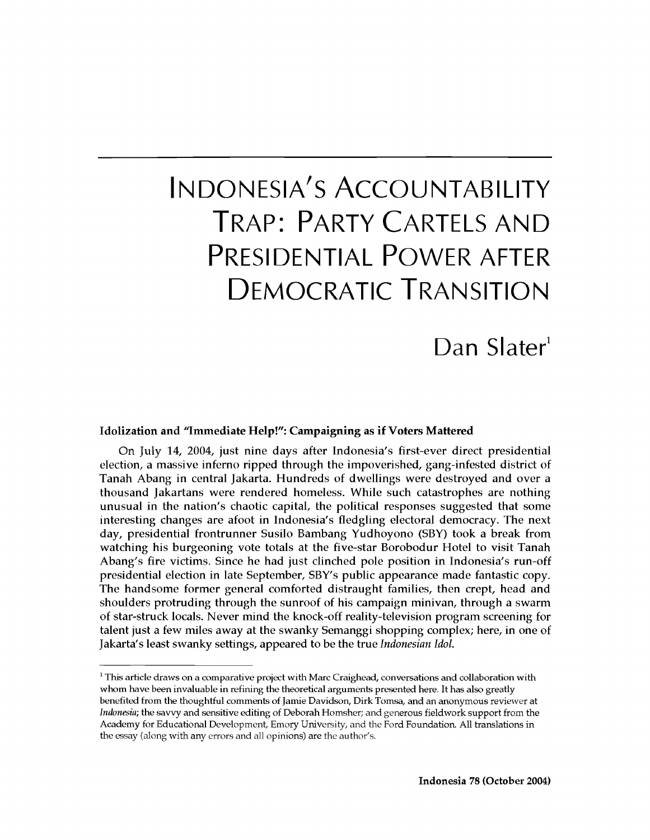# Indonesia' s Accountability Trap: Party Cartels and Presidential Power after Democratic Transition

# Dan Slater<sup>1</sup>

#### **Idolization and "Immediate Help!": Campaigning as if Voters Mattered**

On July 14, 2004, just nine days after Indonesia's first-ever direct presidential election, a massive inferno ripped through the impoverished, gang-infested district of Tanah Abang in central Jakarta. Hundreds of dwellings were destroyed and over a thousand Jakartans were rendered homeless. While such catastrophes are nothing unusual in the nation's chaotic capital, the political responses suggested that some interesting changes are afoot in Indonesia's fledgling electoral democracy. The next day, presidential frontrunner Susilo Bambang Yudhoyono (SBY) took a break from watching his burgeoning vote totals at the five-star Borobodur Hotel to visit Tanah Abang's fire victims. Since he had just clinched pole position in Indonesia's run-off presidential election in late September, SBY's public appearance made fantastic copy. The handsome former general comforted distraught families, then crept, head and shoulders protruding through the sunroof of his campaign minivan, through a swarm of star-struck locals. Never mind the knock-off reality-television program screening for talent just a few miles away at the swanky Semanggi shopping complex; here, in one of Jakarta's least swanky settings, appeared to be the true *Indonesian Idol.*

 $1$  This article draws on a comparative project with Marc Craighead, conversations and collaboration with whom have been invaluable in refining the theoretical arguments presented here. It has also greatly benefited from the thoughtful comments of Jamie Davidson, Dirk Tomsa, and an anonymous reviewer at *Indonesia;* the savvy and sensitive editing of Deborah Homsher; and generous fieldwork support from the Academy for Educational Development, Emory University, and the Ford Foundation. All translations in the essay (along with any errors and all opinions) are the author's.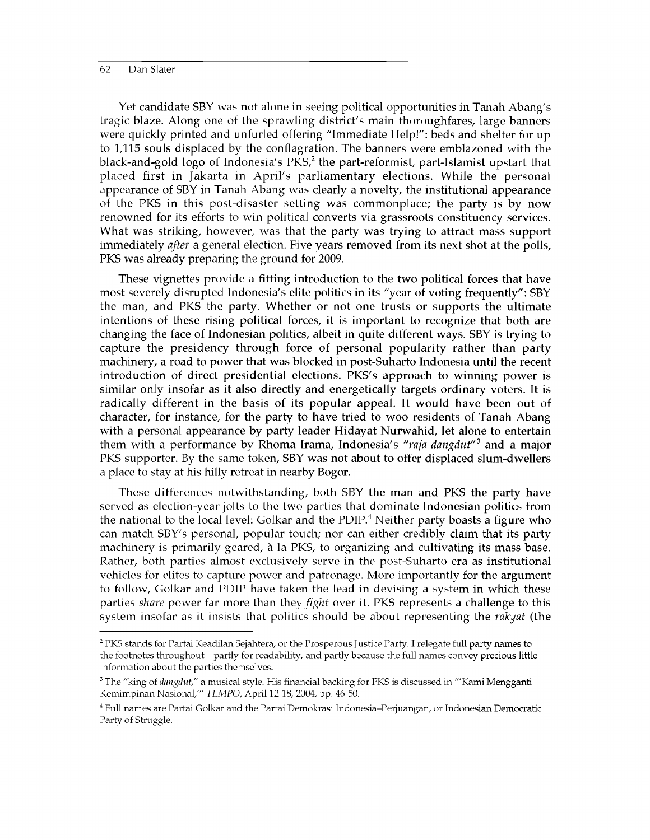Yet candidate SBY was not alone in seeing political opportunities in Tanah Abang's tragic blaze. Along one of the sprawling district's main thoroughfares, large banners were quickly printed and unfurled offering "Immediate Help!": beds and shelter for up to 1,115 souls displaced by the conflagration. The banners were emblazoned with the black-and-gold logo of Indonesia's  $PKS<sub>2</sub><sup>2</sup>$  the part-reformist, part-Islamist upstart that placed first in Jakarta in April's parliamentary elections. While the personal appearance of SBY in Tanah Abang was clearly a novelty, the institutional appearance of the PKS in this post-disaster setting was commonplace; the party is by now renowned for its efforts to win political converts via grassroots constituency services. What was striking, however, was that the party was trying to attract mass support immediately *after* a general election. Five years removed from its next shot at the polls, PKS was already preparing the ground for 2009.

These vignettes provide a fitting introduction to the two political forces that have most severely disrupted Indonesia's elite politics in its "year of voting frequently": SBY the man, and PKS the party. Whether or not one trusts or supports the ultimate intentions of these rising political forces, it is important to recognize that both are changing the face of Indonesian politics, albeit in quite different ways. SBY is trying to capture the presidency through force of personal popularity rather than party machinery, a road to power that was blocked in post-Suharto Indonesia until the recent introduction of direct presidential elections. PKS's approach to winning power is similar only insofar as it also directly and energetically targets ordinary voters. It is radically different in the basis of its popular appeal. It would have been out of character, for instance, for the party to have tried to woo residents of Tanah Abang with a personal appearance by party leader Hidayat Nurwahid, let alone to entertain them with a performance by Rhoma Irama, Indonesia's *"raja dangdut*" 3 and a major PKS supporter. By the same token, SBY was not about to offer displaced slum-dwellers a place to stay at his hilly retreat in nearby Bogor.

These differences notwithstanding, both SBY the man and PKS the party have served as election-year jolts to the two parties that dominate Indonesian politics from the national to the local level: Golkar and the  $PDIP<sup>4</sup>$  Neither party boasts a figure who can match SBY's personal, popular touch; nor can either credibly claim that its party machinery is primarily geared, a la PKS, to organizing and cultivating its mass base. Rather, both parties almost exclusively serve in the post-Suharto era as institutional vehicles for elites to capture power and patronage. More importantly for the argument to follow, Golkar and PDIP have taken the lead in devising a system in which these parties *share* power far more than they *fight* over it. PKS represents a challenge to this system insofar as it insists that politics should be about representing the *rakyat* (the

<sup>&</sup>lt;sup>2</sup> PKS stands for Partai Keadilan Sejahtera, or the Prosperous Justice Party. I relegate full party names to the footnotes throughout—partly for readability, and partly because the full names convey precious little information about the parties themselves.

<sup>3</sup> The "king of *dangdut,"* a musical style. His financial backing for PKS is discussed in "'Kami Mengganti Kemimpinan Nasional/" *TEMPO,* April 12-18, 2004, pp. 46-50.

<sup>4</sup> Full names are Partai Golkar and the Partai Demokrasi Indonesia-Perjuangan, or Indonesian Democratic Party of Struggle.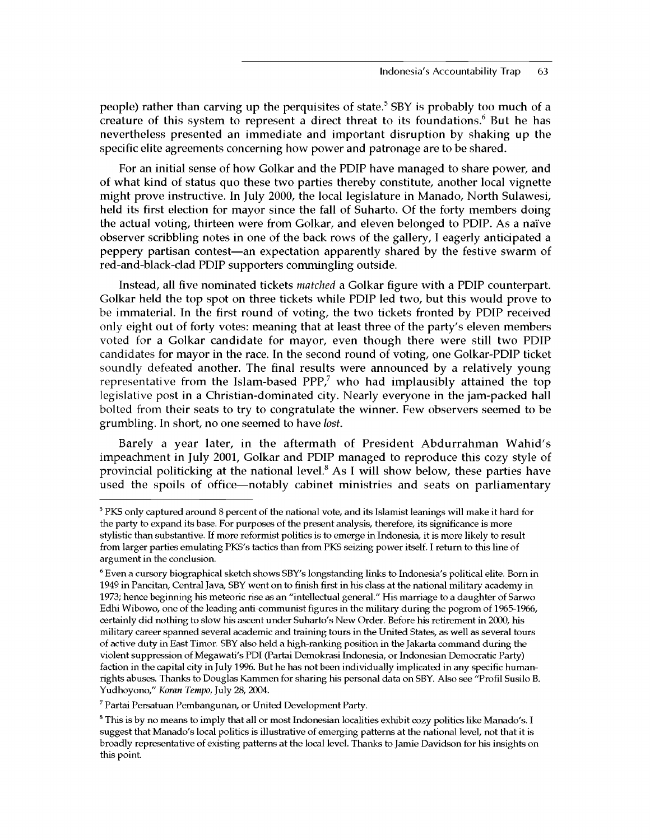people) rather than carving up the perquisites of state.<sup>5</sup> SBY is probably too much of a creature of this system to represent a direct threat to its foundations.<sup>6</sup> But he has nevertheless presented an immediate and important disruption by shaking up the specific elite agreements concerning how power and patronage are to be shared.

For an initial sense of how Golkar and the PDIP have managed to share power, and of what kind of status quo these two parties thereby constitute, another local vignette might prove instructive. In July 2000, the local legislature in Manado, North Sulawesi, held its first election for mayor since the fall of Suharto. Of the forty members doing the actual voting, thirteen were from Golkar, and eleven belonged to PDIP. As a naive observer scribbling notes in one of the back rows of the gallery, I eagerly anticipated a peppery partisan contest—an expectation apparently shared by the festive swarm of red-and-black-clad PDIP supporters commingling outside.

Instead, all five nominated tickets *matched* a Golkar figure with a PDIP counterpart. Golkar held the top spot on three tickets while PDIP led two, but this would prove to be immaterial. In the first round of voting, the two tickets fronted by PDIP received only eight out of forty votes: meaning that at least three of the party's eleven members voted for a Golkar candidate for mayor, even though there were still two PDIP candidates for mayor in the race. In the second round of voting, one Golkar-PDIP ticket soundly defeated another. The final results were announced by a relatively young representative from the Islam-based PPP,<sup>7</sup> who had implausibly attained the top legislative post in a Christian-dominated city. Nearly everyone in the jam-packed hall bolted from their seats to try to congratulate the winner. Few observers seemed to be grumbling. In short, no one seemed to have *lost.*

Barely a year later, in the aftermath of President Abdurrahman Wahid's impeachment in July 2001, Golkar and PDIP managed to reproduce this cozy style of provincial politicking at the national level.<sup>8</sup> As I will show below, these parties have used the spoils of office—notably cabinet ministries and seats on parliamentary

7 Partai Persatuan Pembangunan, or United Development Party.

<sup>5</sup> PKS only captured around 8 percent of the national vote, and its Islamist leanings will make it hard for the party to expand its base. For purposes of the present analysis, therefore, its significance is more stylistic than substantive. If more reformist politics is to emerge in Indonesia, it is more likely to result from larger parties emulating PKS's tactics than from PKS seizing power itself. I return to this line of argument in the conclusion.

<sup>6</sup> Even a cursory biographical sketch shows SBY's longstanding links to Indonesia's political elite. Born in 1949 in Pancitan, Central Java, SBY went on to finish first in his class at the national military academy in 1973; hence beginning his meteoric rise as an "intellectual general." His marriage to a daughter of Sarwo Edhi Wibowo, one of the leading anti-communist figures in the military during the pogrom of 1965-1966, certainly did nothing to slow his ascent under Suharto's New Order. Before his retirement in 2000, his military career spanned several academic and training tours in the United States, as well as several tours of active duty in East Timor. SBY also held a high-ranking position in the Jakarta command during the violent suppression of Megawati's PDI (Partai Demokrasi Indonesia, or Indonesian Democratic Party) faction in the capital city in July 1996. But he has not been individually implicated in any specific humanrights abuses. Thanks to Douglas Kammen for sharing his personal data on SBY. Also see "Profil Susilo B. Yudhoyono," *Koran Tempo,* July 28, 2004.

<sup>&</sup>lt;sup>8</sup> This is by no means to imply that all or most Indonesian localities exhibit cozy politics like Manado's. I suggest that Manado's local politics is illustrative of emerging patterns at the national level, not that it is broadly representative of existing patterns at the local level. Thanks to Jamie Davidson for his insights on this point.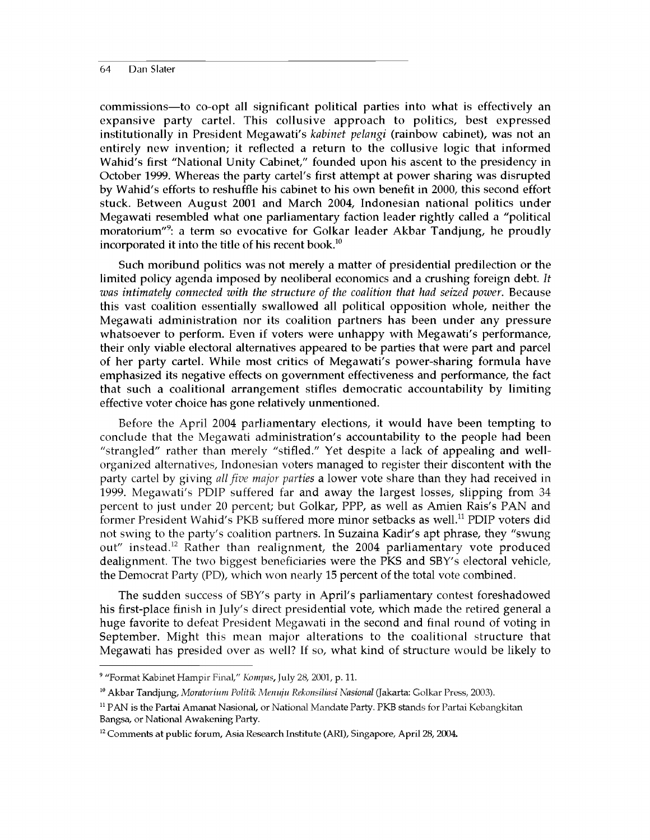commissions—to co-opt all significant political parties into what is effectively an expansive party cartel. This collusive approach to politics, best expressed institutionally in President Megawati's *kabinet pelangi* (rainbow cabinet), was not an entirely new invention; it reflected a return to the collusive logic that informed Wahid's first "National Unity Cabinet," founded upon his ascent to the presidency in October 1999. Whereas the party cartel's first attempt at power sharing was disrupted by Wahid's efforts to reshuffle his cabinet to his own benefit in 2000, this second effort stuck. Between August 2001 and March 2004, Indonesian national politics under Megawati resembled what one parliamentary faction leader rightly called a "political moratorium"9: a term so evocative for Golkar leader Akbar Tandjung, he proudly incorporated it into the title of his recent book.<sup>10</sup>

Such moribund politics was not merely a matter of presidential predilection or the limited policy agenda imposed by neoliberal economics and a crushing foreign debt. *It was intimately connected with the structure of the coalition that had seized power.* Because this vast coalition essentially swallowed all political opposition whole, neither the Megawati administration nor its coalition partners has been under any pressure whatsoever to perform. Even if voters were unhappy with Megawati's performance, their only viable electoral alternatives appeared to be parties that were part and parcel of her party cartel. While most critics of Megawati's power-sharing formula have emphasized its negative effects on government effectiveness and performance, the fact that such a coalitional arrangement stifles democratic accountability by limiting effective voter choice has gone relatively unmentioned.

Before the April 2004 parliamentary elections, it would have been tempting to conclude that the Megawati administration's accountability to the people had been "strangled" rather than merely "stifled." Yet despite a lack of appealing and wellorganized alternatives, Indonesian voters managed to register their discontent with the party cartel by giving *all five major parties* a lower vote share than they had received in 1999. Megawati's PDIP suffered far and away the largest losses, slipping from 34 percent to just under 20 percent; but Golkar, PPP, as well as Amien Rais's PAN and former President Wahid's PKB suffered more minor setbacks as well.<sup>11</sup> PDIP voters did not swing to the party's coalition partners. In Suzaina Kadir's apt phrase, they "swung out" instead.12 Rather than realignment, the 2004 parliamentary vote produced dealignment. The two biggest beneficiaries were the PKS and SBY's electoral vehicle, the Democrat Party (PD), which won nearly 15 percent of the total vote combined.

The sudden success of SBY's party in April's parliamentary contest foreshadowed his first-place finish in July's direct presidential vote, which made the retired general a huge favorite to defeat President Megawati in the second and final round of voting in September. Might this mean major alterations to the coalitional structure that Megawati has presided over as well? If so, what kind of structure would be likely to

<sup>9 &</sup>quot;Format Kabinet Hampir Final," *Kompas,* July 28, 2001, p. 11.

<sup>10</sup> Akbar Tandjung, *Moratorium Politik Menuju Rekonsiliasi Nasional* (Jakarta: Golkar Press, 2003).

<sup>&</sup>lt;sup>11</sup> PAN is the Partai Amanat Nasional, or National Mandate Party. PKB stands for Partai Kebangkitan Bangsa, or National Awakening Party.

<sup>&</sup>lt;sup>12</sup> Comments at public forum, Asia Research Institute (ARI), Singapore, April 28, 2004.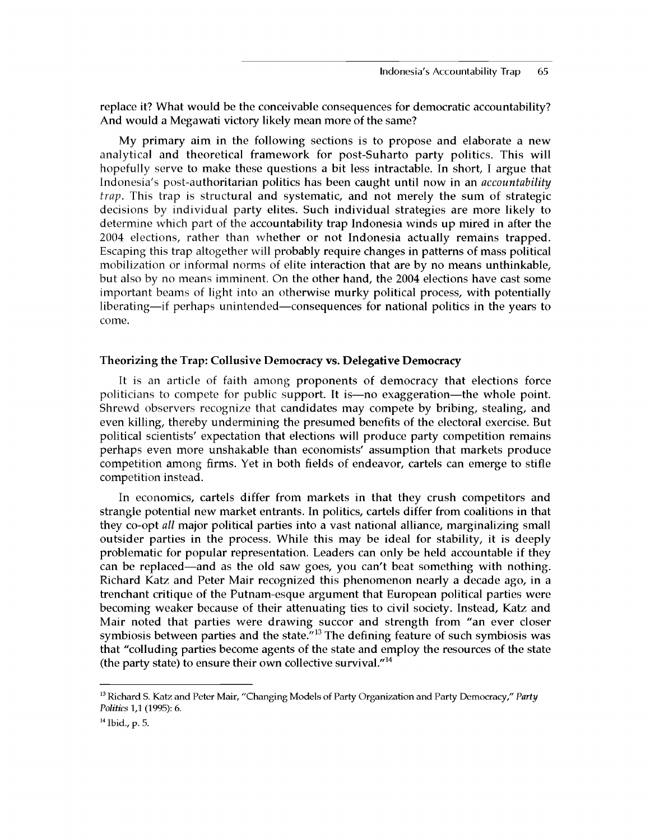replace it? What would be the conceivable consequences for democratic accountability? And would a Megawati victory likely mean more of the same?

My primary aim in the following sections is to propose and elaborate a new analytical and theoretical framework for post-Suharto party politics. This will hopefully serve to make these questions a bit less intractable. In short, I argue that Indonesia's post-authoritarian politics has been caught until now in an *accountability trap.* This trap is structural and systematic, and not merely the sum of strategic decisions by individual party elites. Such individual strategies are more likely to determine which part of the accountability trap Indonesia winds up mired in after the 2004 elections, rather than whether or not Indonesia actually remains trapped. Escaping this trap altogether will probably require changes in patterns of mass political mobilization or informal norms of elite interaction that are by no means unthinkable, but also by no means imminent. On the other hand, the 2004 elections have cast some important beams of light into an otherwise murky political process, with potentially liberating—if perhaps unintended—consequences for national politics in the years to come.

#### **Theorizing the Trap: Collusive Democracy vs. Delegative Democracy**

It is an article of faith among proponents of democracy that elections force politicians to compete for public support. It is—no exaggeration—the whole point. Shrewd observers recognize that candidates may compete by bribing, stealing, and even killing, thereby undermining the presumed benefits of the electoral exercise. But political scientists' expectation that elections will produce party competition remains perhaps even more unshakable than economists' assumption that markets produce competition among firms. Yet in both fields of endeavor, cartels can emerge to stifle competition instead.

In economics, cartels differ from markets in that they crush competitors and strangle potential new market entrants. In politics, cartels differ from coalitions in that they co-opt *all* major political parties into a vast national alliance, marginalizing small outsider parties in the process. While this may be ideal for stability, it is deeply problematic for popular representation. Leaders can only be held accountable if they can be replaced—and as the old saw goes, you can't beat something with nothing. Richard Katz and Peter Mair recognized this phenomenon nearly a decade ago, in a trenchant critique of the Putnam-esque argument that European political parties were becoming weaker because of their attenuating ties to civil society. Instead, Katz and Mair noted that parties were drawing succor and strength from "an ever closer symbiosis between parties and the state. $13$  The defining feature of such symbiosis was that "colluding parties become agents of the state and employ the resources of the state (the party state) to ensure their own collective survival. $114$ 

<sup>13</sup> Richard S. Katz and Peter Mair, "Changing Models of Party Organization and Party Democracy," *Party Politics* 1,1 (1995): 6.

<sup>14</sup> Ibid., p. 5.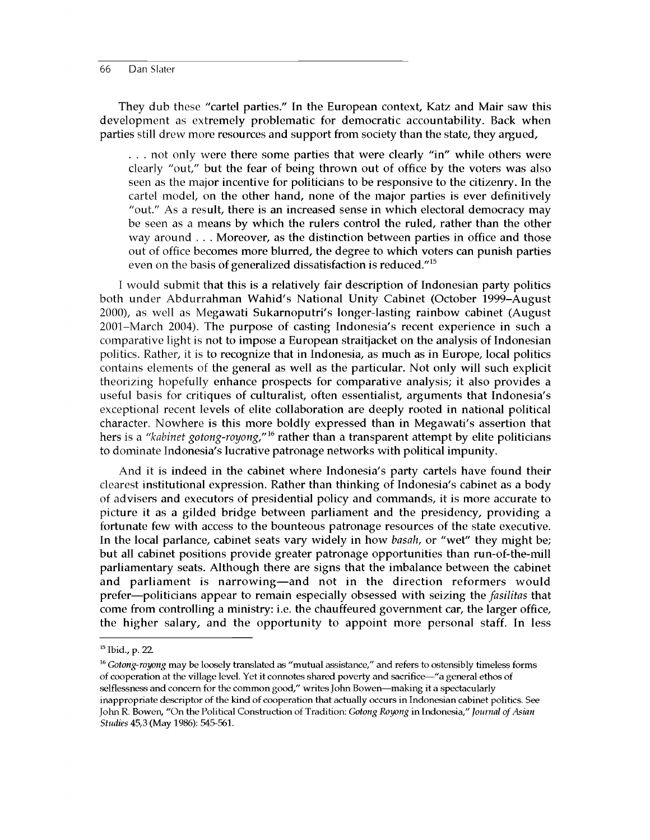They dub these "cartel parties." In the European context, Katz and Mair saw this development as extremely problematic for democratic accountability. Back when parties still drew more resources and support from society than the state, they argued,

. . . not only were there some parties that were clearly "in" while others were clearly "out," but the fear of being thrown out of office by the voters was also seen as the major incentive for politicians to be responsive to the citizenry. In the cartel model, on the other hand, none of the major parties is ever definitively "out." As a result, there is an increased sense in which electoral democracy may be seen as a means by which the rulers control the ruled, rather than the other way around . . . Moreover, as the distinction between parties in office and those out of office becomes more blurred, the degree to which voters can punish parties even on the basis of generalized dissatisfaction is reduced."<sup>15</sup>

I would submit that this is a relatively fair description of Indonesian party politics both under Abdurrahman Wahid's National Unity Cabinet (October 1999-August 2000), as well as Megawati Sukarnoputri's longer-lasting rainbow cabinet (August 2001-March 2004). The purpose of casting Indonesia's recent experience in such a comparative light is not to impose a European straitjacket on the analysis of Indonesian politics. Rather, it is to recognize that in Indonesia, as much as in Europe, local politics contains elements of the general as well as the particular. Not only will such explicit theorizing hopefully enhance prospects for comparative analysis; it also provides a useful basis for critiques of culturalist, often essentialist, arguments that Indonesia's exceptional recent levels of elite collaboration are deeply rooted in national political character. Nowhere is this more boldly expressed than in Megawati's assertion that hers is a *"kabinet gotong-royong/'16* rather than a transparent attempt by elite politicians to dominate Indonesia's lucrative patronage networks with political impunity.

And it is indeed in the cabinet where Indonesia's party cartels have found their clearest institutional expression. Rather than thinking of Indonesia's cabinet as a body of advisers and executors of presidential policy and commands, it is more accurate to picture it as a gilded bridge between parliament and the presidency, providing a fortunate few with access to the bounteous patronage resources of the state executive. In the local parlance, cabinet seats vary widely in how *basah,* or "wet" they might be; but all cabinet positions provide greater patronage opportunities than run-of-the-mill parliamentary seats. Although there are signs that the imbalance between the cabinet and parliament is narrowing—and not in the direction reformers would prefer—politicians appear to remain especially obsessed with seizing the *fasilitas* that come from controlling a ministry: i.e. the chauffeured government car, the larger office, the higher salary, and the opportunity to appoint more personal staff. In less

<sup>15</sup> Ibid., p. 22.

<sup>&</sup>lt;sup>16</sup> Gotong-royong may be loosely translated as "mutual assistance," and refers to ostensibly timeless forms of cooperation at the village level. Yet it connotes shared poverty and sacrifice—"a general ethos of selflessness and concern for the common good," writes John Bowen—making it a spectacularly inappropriate descriptor of the kind of cooperation that actually occurs in Indonesian cabinet politics. See John R. Bowen, "On the Political Construction of Tradition: *Gotong Royong* in Indonesia," *Journal of Asian Studies* 45,3 (May 1986): 545-561.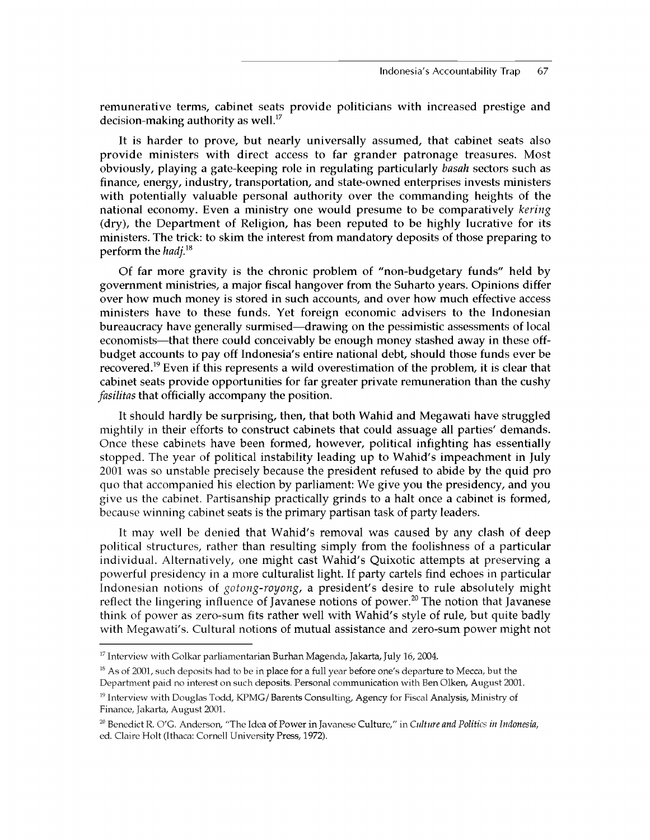remunerative terms, cabinet seats provide politicians with increased prestige and decision-making authority as well.<sup>17</sup>

It is harder to prove, but nearly universally assumed, that cabinet seats also provide ministers with direct access to far grander patronage treasures. Most obviously, playing a gate-keeping role in regulating particularly *basah* sectors such as finance, energy, industry, transportation, and state-owned enterprises invests ministers with potentially valuable personal authority over the commanding heights of the national economy. Even a ministry one would presume to be comparatively *kering* (dry), the Department of Religion, has been reputed to be highly lucrative for its ministers. The trick: to skim the interest from mandatory deposits of those preparing to perform the *hadj.18*

Of far more gravity is the chronic problem of "non-budgetary funds" held by government ministries, a major fiscal hangover from the Suharto years. Opinions differ over how much money is stored in such accounts, and over how much effective access ministers have to these funds. Yet foreign economic advisers to the Indonesian bureaucracy have generally surmised—drawing on the pessimistic assessments of local economists—that there could conceivably be enough money stashed away in these offbudget accounts to pay off Indonesia's entire national debt, should those funds ever be recovered.<sup>19</sup> Even if this represents a wild overestimation of the problem, it is clear that cabinet seats provide opportunities for far greater private remuneration than the cushy *fasilitas* that officially accompany the position.

It should hardly be surprising, then, that both Wahid and Megawati have struggled mightily in their efforts to construct cabinets that could assuage all parties' demands. Once these cabinets have been formed, however, political infighting has essentially stopped. The year of political instability leading up to Wahid's impeachment in July 2001 was so unstable precisely because the president refused to abide by the quid pro quo that accompanied his election by parliament: We give you the presidency, and you give us the cabinet. Partisanship practically grinds to a halt once a cabinet is formed, because winning cabinet seats is the primary partisan task of party leaders.

It may well be denied that Wahid's removal was caused by any clash of deep political structures, rather than resulting simply from the foolishness of a particular individual. Alternatively, one might cast Wahid's Quixotic attempts at preserving a powerful presidency in a more culturalist light. If party cartels find echoes in particular Indonesian notions of *gotong-royong,* a president's desire to rule absolutely might reflect the lingering influence of Javanese notions of power.<sup>20</sup> The notion that Javanese think of power as zero-sum fits rather well with Wahid's style of rule, but quite badly with Megawati's. Cultural notions of mutual assistance and zero-sum power might not

 $17$  Interview with Golkar parliamentarian Burhan Magenda, Jakarta, July 16, 2004.

<sup>&</sup>lt;sup>18</sup> As of 2001, such deposits had to be in place for a full year before one's departure to Mecca, but the Department paid no interest on such deposits. Personal communication with Ben Olken, August 2001.

<sup>&</sup>lt;sup>19</sup> Interview with Douglas Todd, KPMG/Barents Consulting, Agency for Fiscal Analysis, Ministry of Finance, Jakarta, August 2001.

<sup>20</sup> Benedict R. O'G. Anderson, "The Idea of Power in Javanese Culture," in *Culture and Politics in Indonesia,* ed. Claire Flolt (Ithaca: Cornell University Press, 1972).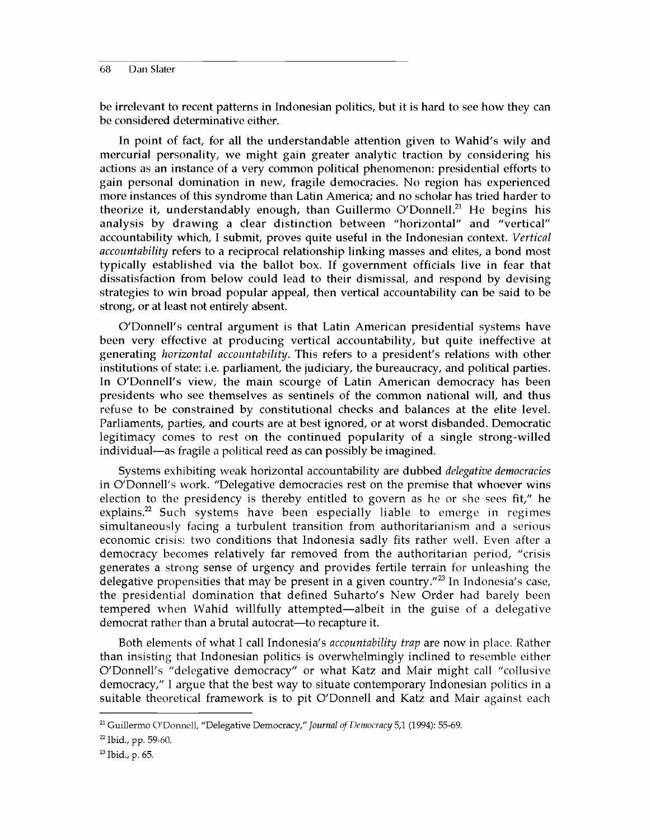be irrelevant to recent patterns in Indonesian politics, but it is hard to see how they can be considered determinative either.

In point of fact, for all the understandable attention given to Wahid's wily and mercurial personality, we might gain greater analytic traction by considering his actions as an instance of a very common political phenomenon: presidential efforts to gain personal domination in new, fragile democracies. No region has experienced more instances of this syndrome than Latin America; and no scholar has tried harder to theorize it, understandably enough, than Guillermo O'Donnell.<sup>21</sup> He begins his analysis by drawing a clear distinction between "horizontal" and "vertical" accountability which, I submit, proves quite useful in the Indonesian context. *Vertical accountability* refers to a reciprocal relationship linking masses and elites, a bond most typically established via the ballot box. If government officials live in fear that dissatisfaction from below could lead to their dismissal, and respond by devising strategies to win broad popular appeal, then vertical accountability can be said to be strong, or at least not entirely absent.

O'Donnell's central argument is that Latin American presidential systems have been very effective at producing vertical accountability, but quite ineffective at generating *horizontal accountability.* This refers to a president's relations with other institutions of state: i.e. parliament, the judiciary, the bureaucracy, and political parties. In O'Donnell's view, the main scourge of Latin American democracy has been presidents who see themselves as sentinels of the common national will, and thus refuse to be constrained by constitutional checks and balances at the elite level. Parliaments, parties, and courts are at best ignored, or at worst disbanded. Democratic legitimacy comes to rest on the continued popularity of a single strong-willed individual—as fragile a political reed as can possibly be imagined.

Systems exhibiting weak horizontal accountability are dubbed *delegative democracies* in O'Donnell's work. "Delegative democracies rest on the premise that whoever wins election to the presidency is thereby entitled to govern as he or she sees fit," he explains.<sup>22</sup> Such systems have been especially liable to emerge in regimes simultaneously facing a turbulent transition from authoritarianism and a serious economic crisis: two conditions that Indonesia sadly fits rather well. Even after a democracy becomes relatively far removed from the authoritarian period, "crisis generates a strong sense of urgency and provides fertile terrain for unleashing the delegative propensities that may be present in a given country."<sup>23</sup> In Indonesia's case, the presidential domination that defined Suharto's New Order had barely been tempered when Wahid willfully attempted—albeit in the guise of a delegative democrat rather than a brutal autocrat—to recapture it.

Both elements of what I call Indonesia's *accountability trap* are now in place. Rather than insisting that Indonesian politics is overwhelmingly inclined to resemble either O'Donnell's "delegative democracy" or what Katz and Mair might call "collusive democracy," I argue that the best way to situate contemporary Indonesian politics in a suitable theoretical framework is to pit O'Donnell and Katz and Mair against each

<sup>21</sup> Guillermo O'Donnell, "Delegative Democracy," *Journal of Democracy* 5,1 (1994): 55-69.

<sup>22</sup> Ibid., pp. 59-60.

<sup>23</sup> Ibid., p. 65.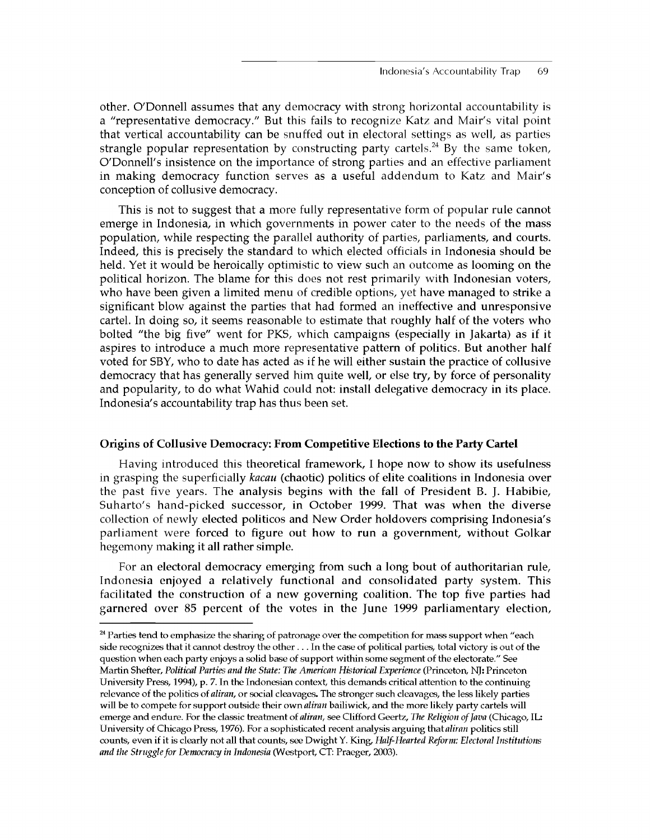other. O'Donnell assumes that any democracy with strong horizontal accountability is a "representative democracy." But this fails to recognize Katz and Mair's vital point that vertical accountability can be snuffed out in electoral settings as well, as parties strangle popular representation by constructing party cartels.<sup>24</sup> By the same token, O'Donnell's insistence on the importance of strong parties and an effective parliament in making democracy function serves as a useful addendum to Katz and Mair's conception of collusive democracy.

This is not to suggest that a more fully representative form of popular rule cannot emerge in Indonesia, in which governments in power cater to the needs of the mass population, while respecting the parallel authority of parties, parliaments, and courts. Indeed, this is precisely the standard to which elected officials in Indonesia should be held. Yet it would be heroically optimistic to view such an outcome as looming on the political horizon. The blame for this does not rest primarily with Indonesian voters, who have been given a limited menu of credible options, yet have managed to strike a significant blow against the parties that had formed an ineffective and unresponsive cartel. In doing so, it seems reasonable to estimate that roughly half of the voters who bolted "the big five" went for PKS, which campaigns (especially in Jakarta) as if it aspires to introduce a much more representative pattern of politics. But another half voted for SBY, who to date has acted as if he will either sustain the practice of collusive democracy that has generally served him quite well, or else try, by force of personality and popularity, to do what Wahid could not: install delegative democracy in its place. Indonesia's accountability trap has thus been set.

# **Origins of Collusive Democracy: From Competitive Elections to the Party Cartel**

Having introduced this theoretical framework, I hope now to show its usefulness in grasping the superficially *kacau* (chaotic) politics of elite coalitions in Indonesia over the past five years. The analysis begins with the fall of President B. J. Habibie, Suharto's hand-picked successor, in October 1999. That was when the diverse collection of newly elected politicos and New Order holdovers comprising Indonesia's parliament were forced to figure out how to run a government, without Golkar hegemony making it all rather simple.

For an electoral democracy emerging from such a long bout of authoritarian rule, Indonesia enjoyed a relatively functional and consolidated party system. This facilitated the construction of a new governing coalition. The top five parties had garnered over 85 percent of the votes in the June 1999 parliamentary election,

<sup>&</sup>lt;sup>24</sup> Parties tend to emphasize the sharing of patronage over the competition for mass support when "each side recognizes that it cannot destroy the other . . . In the case of political parties, total victory is out of the question when each party enjoys a solid base of support within some segment of the electorate." See Martin Shefter, *Political Parties and the State: The American Historical Experience* (Princeton, NJ: Princeton University Press, 1994), p. 7. In the Indonesian context, this demands critical attention to the continuing relevance of the politics of *aliran,* or social cleavages. The stronger such cleavages, the less likely parties will be to compete for support outside their own *aliran* bailiwick, and the more likely party cartels will emerge and endure. For the classic treatment of *aliran*, see Clifford Geertz, *The Religion of Java* (Chicago, IL: University of Chicago Press, 1976). For a sophisticated recent analysis arguing *that aliran* politics still counts, even if it is clearly not all that counts, see Dwight Y. King, *Half-Hearted Reform: Electoral Institutions and the Struggle for Democracy in Indonesia* (Westport, CT: Praeger, 2003).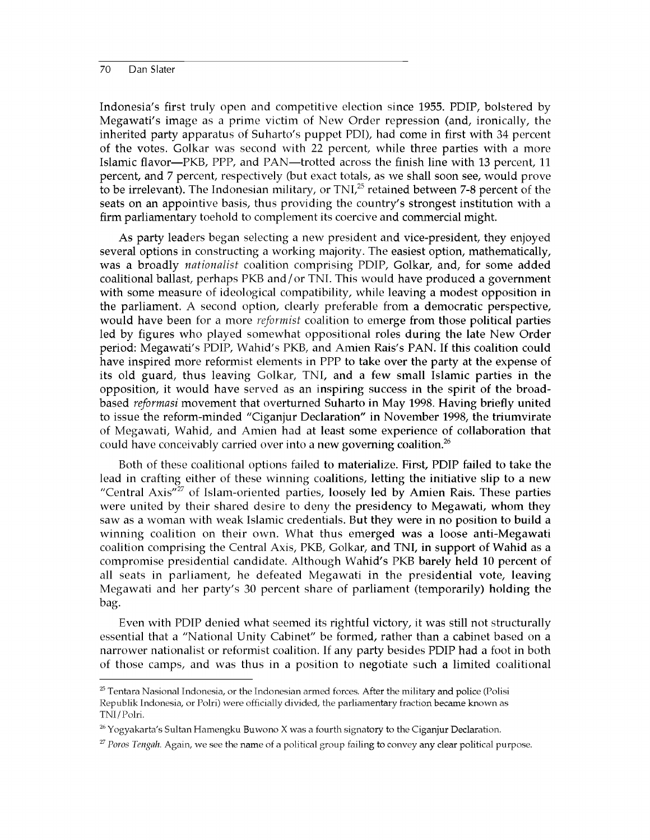Indonesia's first truly open and competitive election since 1955. PDIP, bolstered by Megawati's image as a prime victim of New Order repression (and, ironically, the inherited party apparatus of Suharto's puppet PDI), had come in first with 34 percent of the votes. Golkar was second with 22 percent, while three parties with a more Islamic flavor—PKB, PPP, and PAN—trotted across the finish line with 13 percent, 11 percent, and 7 percent, respectively (but exact totals, as we shall soon see, would prove to be irrelevant). The Indonesian military, or TNI.<sup>25</sup> retained between 7-8 percent of the seats on an appointive basis, thus providing the country's strongest institution with a firm parliamentary toehold to complement its coercive and commercial might.

As party leaders began selecting a new president and vice-president, they enjoyed several options in constructing a working majority. The easiest option, mathematically, was a broadly *nationalist* coalition comprising PDIP, Golkar, and, for some added coalitional ballast, perhaps PKB and/or TNI. This would have produced a government with some measure of ideological compatibility, while leaving a modest opposition in the parliament. A second option, clearly preferable from a democratic perspective, would have been for a more *reformist* coalition to emerge from those political parties led by figures who played somewhat oppositional roles during the late New Order period: Megawati's PDIP, Wahid's PKB, and Amien Rais's PAN. If this coalition could have inspired more reformist elements in PPP to take over the party at the expense of its old guard, thus leaving Golkar, TNI, and a few small Islamic parties in the opposition, it would have served as an inspiring success in the spirit of the broadbased *reformasi* movement that overturned Suharto in May 1998. Having briefly united to issue the reform-minded "Ciganjur Declaration" in November 1998, the triumvirate of Megawati, Wahid, and Amien had at least some experience of collaboration that could have conceivably carried over into a new governing coalition.<sup>26</sup>

Both of these coalitional options failed to materialize. First, PDIP failed to take the lead in crafting either of these winning coalitions, letting the initiative slip to a new "Central Axis"<sup>27</sup> of Islam-oriented parties, loosely led by Amien Rais. These parties were united by their shared desire to deny the presidency to Megawati, whom they saw as a woman with weak Islamic credentials. But they were in no position to build a winning coalition on their own. What thus emerged was a loose anti-Megawati coalition comprising the Central Axis, PKB, Golkar, and TNI, in support of Wahid as a compromise presidential candidate. Although Wahid's PKB barely held 10 percent of all seats in parliament, he defeated Megawati in the presidential vote, leaving Megawati and her party's 30 percent share of parliament (temporarily) holding the bag.

Even with PDIP denied what seemed its rightful victory, it was still not structurally essential that a "National Unity Cabinet" be formed, rather than a cabinet based on a narrower nationalist or reformist coalition. If any party besides PDIP had a foot in both of those camps, and was thus in a position to negotiate such a limited coalitional

 $25$  Tentara Nasional Indonesia, or the Indonesian armed forces. After the military and police (Polisi Republik Indonesia, or Polri) were officially divided, the parliamentary fraction became known as TNI/Polri.

 $26$  Yogyakarta's Sultan Hamengku Buwono X was a fourth signatory to the Ciganjur Declaration.

<sup>27</sup> *Poros Tengah.* Again, we see the name of a political group failing to convey any clear political purpose.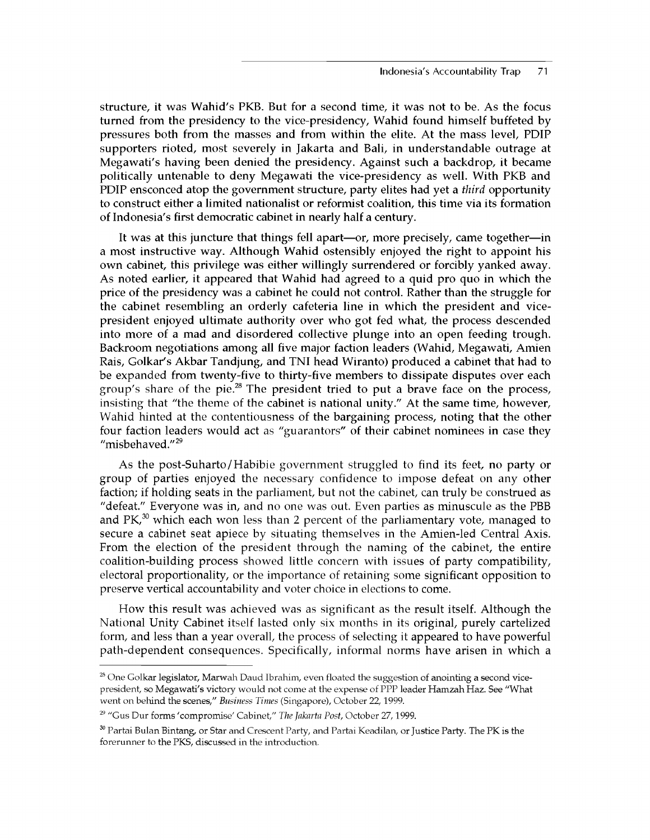structure, it was Wahid's PKB. But for a second time, it was not to be. As the focus turned from the presidency to the vice-presidency, Wahid found himself buffeted by pressures both from the masses and from within the elite. At the mass level, PDIP supporters rioted, most severely in Jakarta and Bali, in understandable outrage at Megawati's having been denied the presidency. Against such a backdrop, it became politically untenable to deny Megawati the vice-presidency as well. With PKB and PDIP ensconced atop the government structure, party elites had yet a *third* opportunity to construct either a limited nationalist or reformist coalition, this time via its formation of Indonesia's first democratic cabinet in nearly half a century.

It was at this juncture that things fell apart—or, more precisely, came together—in a most instructive way. Although Wahid ostensibly enjoyed the right to appoint his own cabinet, this privilege was either willingly surrendered or forcibly yanked away. As noted earlier, it appeared that Wahid had agreed to a quid pro quo in which the price of the presidency was a cabinet he could not control. Rather than the struggle for the cabinet resembling an orderly cafeteria line in which the president and vicepresident enjoyed ultimate authority over who got fed what, the process descended into more of a mad and disordered collective plunge into an open feeding trough. Backroom negotiations among all five major faction leaders (Wahid, Megawati, Amien Rais, Golkar's Akbar Tandjung, and TNI head Wiranto) produced a cabinet that had to be expanded from twenty-five to thirty-five members to dissipate disputes over each group's share of the pie.<sup>28</sup> The president tried to put a brave face on the process, insisting that "the theme of the cabinet is national unity." At the same time, however, Wahid hinted at the contentiousness of the bargaining process, noting that the other four faction leaders would act as "guarantors" of their cabinet nominees in case they "misbehaved."<sup>29</sup>

As the post-Suharto/Habibie government struggled to find its feet, no party or group of parties enjoyed the necessary confidence to impose defeat on any other faction; if holding seats in the parliament, but not the cabinet, can truly be construed as "defeat." Everyone was in, and no one was out. Even parties as minuscule as the PBB and  $PK<sub>0</sub><sup>30</sup>$  which each won less than 2 percent of the parliamentary vote, managed to secure a cabinet seat apiece by situating themselves in the Amien-led Central Axis. From the election of the president through the naming of the cabinet, the entire coalition-building process showed little concern with issues of party compatibility, electoral proportionality, or the importance of retaining some significant opposition to preserve vertical accountability and voter choice in elections to come.

How this result was achieved was as significant as the result itself. Although the National Unity Cabinet itself lasted only six months in its original, purely cartelized form, and less than a year overall, the process of selecting it appeared to have powerful path-dependent consequences. Specifically, informal norms have arisen in which a

<sup>&</sup>lt;sup>28</sup> One Golkar legislator, Marwah Daud Ibrahim, even floated the suggestion of anointing a second vicepresident, so Megawati's victory would not come at the expense of PPP leader Hamzah Haz. See "What went on behind the scenes," *Business Times* (Singapore), October 22,1999.

<sup>29 &</sup>quot;Gus Dur forms 'compromise' Cabinet," *The Jakarta Post,* October 27,1999.

<sup>&</sup>lt;sup>30</sup> Partai Bulan Bintang, or Star and Crescent Party, and Partai Keadilan, or Justice Party. The PK is the forerunner to the PKS, discussed in the introduction.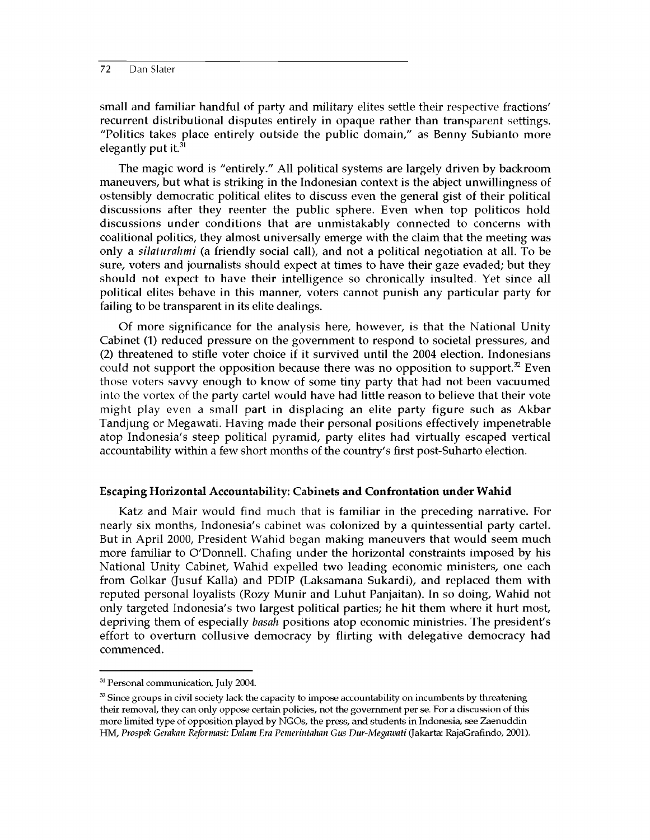small and familiar handful of party and military elites settle their respective fractions' recurrent distributional disputes entirely in opaque rather than transparent settings. "Politics takes place entirely outside the public domain," as Benny Subianto more elegantly put it. $31$ 

The magic word is "entirely." All political systems are largely driven by backroom maneuvers, but what is striking in the Indonesian context is the abject unwillingness of ostensibly democratic political elites to discuss even the general gist of their political discussions after they reenter the public sphere. Even when top politicos hold discussions under conditions that are unmistakably connected to concerns with coalitional politics, they almost universally emerge with the claim that the meeting was only a *silaturahmi* (a friendly social call), and not a political negotiation at all. To be sure, voters and journalists should expect at times to have their gaze evaded; but they should not expect to have their intelligence so chronically insulted. Yet since all political elites behave in this manner, voters cannot punish any particular party for failing to be transparent in its elite dealings.

Of more significance for the analysis here, however, is that the National Unity Cabinet (1) reduced pressure on the government to respond to societal pressures, and (2) threatened to stifle voter choice if it survived until the 2004 election. Indonesians could not support the opposition because there was no opposition to support.<sup>32</sup> Even those voters savvy enough to know of some tiny party that had not been vacuumed into the vortex of the party cartel would have had little reason to believe that their vote might play even a small part in displacing an elite party figure such as Akbar Tandjung or Megawati. Having made their personal positions effectively impenetrable atop Indonesia's steep political pyramid, party elites had virtually escaped vertical accountability within a few short months of the country's first post-Suharto election.

#### **Escaping Horizontal Accountability: Cabinets and Confrontation under Wahid**

Katz and Mair would find much that is familiar in the preceding narrative. For nearly six months, Indonesia's cabinet was colonized by a quintessential party cartel. But in April 2000, President Wahid began making maneuvers that would seem much more familiar to O'Donnell. Chafing under the horizontal constraints imposed by his National Unity Cabinet, Wahid expelled two leading economic ministers, one each from Golkar (Jusuf Kalla) and PDIP (Laksamana Sukardi), and replaced them with reputed personal loyalists (Rozy Munir and Luhut Panjaitan). In so doing, Wahid not only targeted Indonesia's two largest political parties; he hit them where it hurt most, depriving them of especially *basah* positions atop economic ministries. The president's effort to overturn collusive democracy by flirting with delegative democracy had commenced.

<sup>&</sup>lt;sup>31</sup> Personal communication, July 2004.

 $32$  Since groups in civil society lack the capacity to impose accountability on incumbents by threatening their removal, they can only oppose certain policies, not the government per se. For a discussion of this more limited type of opposition played by NGOs, the press, and students in Indonesia, see Zaenuddin HM, *Prospek Gerakan Reformasi: Dalam Era Pemerintahan Gus Dur-Megawati* (Jakarta: RajaGrafindo, 2001).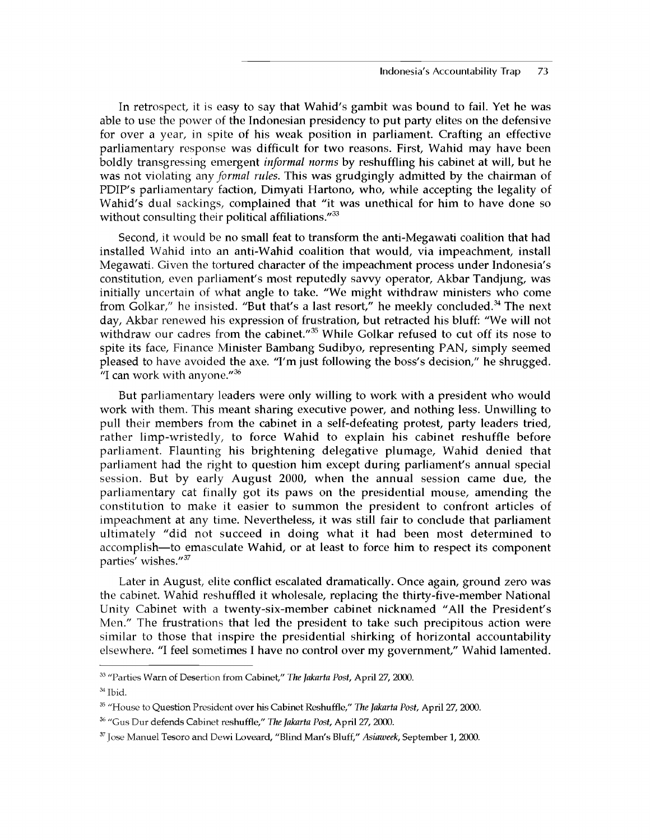In retrospect, it is easy to say that Wahid's gambit was bound to fail. Yet he was able to use the power of the Indonesian presidency to put party elites on the defensive for over a year, in spite of his weak position in parliament. Crafting an effective parliamentary response was difficult for two reasons. First, Wahid may have been boldly transgressing emergent *informal norms* by reshuffling his cabinet at will, but he was not violating any *formal rules.* This was grudgingly admitted by the chairman of PDIP's parliamentary faction, Dimyati Hartono, who, while accepting the legality of Wahid's dual sackings, complained that "it was unethical for him to have done so without consulting their political affiliations."<sup>33</sup>

Second, it would be no small feat to transform the anti-Megawati coalition that had installed Wahid into an anti-Wahid coalition that would, via impeachment, install Megawati. Given the tortured character of the impeachment process under Indonesia's constitution, even parliament's most reputedly savvy operator, Akbar Tandjung, was initially uncertain of what angle to take. "We might withdraw ministers who come from Golkar," he insisted. "But that's a last resort," he meekly concluded.<sup>34</sup> The next day, Akbar renewed his expression of frustration, but retracted his bluff: "We will not withdraw our cadres from the cabinet."<sup>35</sup> While Golkar refused to cut off its nose to spite its face, Finance Minister Bambang Sudibyo, representing PAN, simply seemed pleased to have avoided the axe. "I'm just following the boss's decision," he shrugged. "I can work with anyone."36

But parliamentary leaders were only willing to work with a president who would work with them. This meant sharing executive power, and nothing less. Unwilling to pull their members from the cabinet in a self-defeating protest, party leaders tried, rather limp-wristedly, to force Wahid to explain his cabinet reshuffle before parliament. Flaunting his brightening delegative plumage, Wahid denied that parliament had the right to question him except during parliament's annual special session. But by early August 2000, when the annual session came due, the parliamentary cat finally got its paws on the presidential mouse, amending the constitution to make it easier to summon the president to confront articles of impeachment at any time. Nevertheless, it was still fair to conclude that parliament ultimately "did not succeed in doing what it had been most determined to accomplish—to emasculate Wahid, or at least to force him to respect its component parties' wishes."37

Later in August, elite conflict escalated dramatically. Once again, ground zero was the cabinet. Wahid reshuffled it wholesale, replacing the thirty-five-member National Unity Cabinet with a twenty-six-member cabinet nicknamed "All the President's Men." The frustrations that led the president to take such precipitous action were similar to those that inspire the presidential shirking of horizontal accountability elsewhere. "I feel sometimes I have no control over my government," Wahid lamented.

<sup>33 &</sup>quot;Parties Warn of Desertion from Cabinet," *The Jakarta Post,* April 27, 2000.

<sup>34</sup> Ibid.

<sup>35 &</sup>quot;House to Question President over his Cabinet Reshuffle," *The Jakarta Post,* April 27, 2000.

<sup>36 &</sup>quot;Gus Dur defends Cabinet reshuffle," *The Jakarta Post,* April 27, 2000.

<sup>37</sup> Jose Manuel Tesoro and Dewi Loveard, "Blind Man's Bluff," *Asiaweek,* September 1, 2000.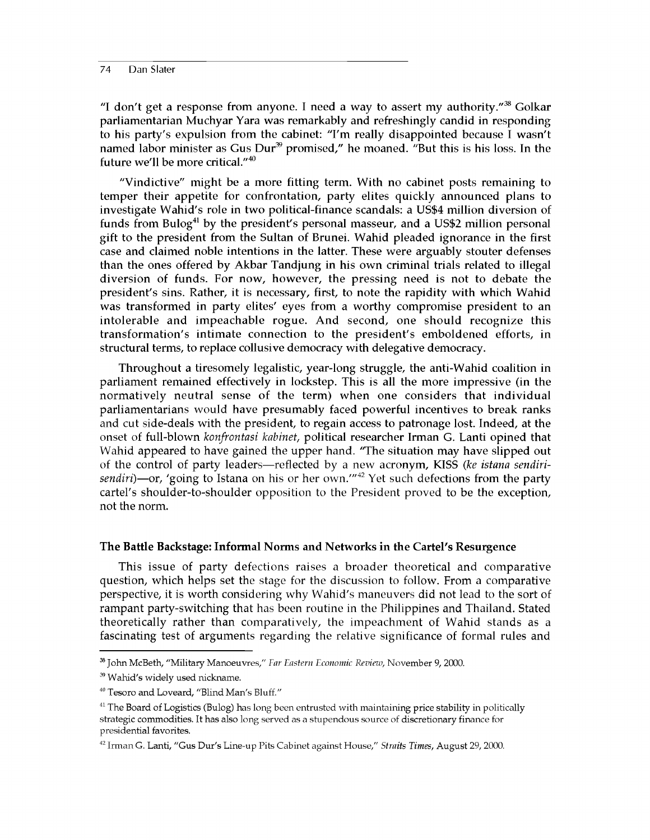"I don't get a response from anyone. I need a way to assert my authority." $38$  Golkar parliamentarian Muchyar Yara was remarkably and refreshingly candid in responding to his party's expulsion from the cabinet: "I'm really disappointed because I wasn't named labor minister as Gus Dur<sup>39</sup> promised," he moaned. "But this is his loss. In the future we'll be more critical."40

"Vindictive" might be a more fitting term. With no cabinet posts remaining to temper their appetite for confrontation, party elites quickly announced plans to investigate Wahid's role in two political-finance scandals: a US\$4 million diversion of funds from Bulog<sup>41</sup> by the president's personal masseur, and a US\$2 million personal gift to the president from the Sultan of Brunei. Wahid pleaded ignorance in the first case and claimed noble intentions in the latter. These were arguably stouter defenses than the ones offered by Akbar Tandjung in his own criminal trials related to illegal diversion of funds. For now, however, the pressing need is not to debate the president's sins. Rather, it is necessary, first, to note the rapidity with which Wahid was transformed in party elites' eyes from a worthy compromise president to an intolerable and impeachable rogue. And second, one should recognize this transformation's intimate connection to the president's emboldened efforts, in structural terms, to replace collusive democracy with delegative democracy.

Throughout a tiresomely legalistic, year-long struggle, the anti-Wahid coalition in parliament remained effectively in lockstep. This is all the more impressive (in the normatively neutral sense of the term) when one considers that individual parliamentarians would have presumably faced powerful incentives to break ranks and cut side-deals with the president, to regain access to patronage lost. Indeed, at the onset of full-blown *konfrontasi kabinet,* political researcher Irman G. Lanti opined that Wahid appeared to have gained the upper hand. 'The situation may have slipped out of the control of party leaders—reflected by a new acronym, KISS *(ke istana sendiri*sendiri)—or, 'going to Istana on his or her own.<sup>''42</sup> Yet such defections from the party cartel's shoulder-to-shoulder opposition to the President proved to be the exception, not the norm.

# **The Battle Backstage: Informal Norms and Networks in the Cartel's Resurgence**

This issue of party defections raises a broader theoretical and comparative question, which helps set the stage for the discussion to follow. From a comparative perspective, it is worth considering why Wahid's maneuvers did not lead to the sort of rampant party-switching that has been routine in the Philippines and Thailand. Stated theoretically rather than comparatively, the impeachment of Wahid stands as a fascinating test of arguments regarding the relative significance of formal rules and

<sup>38</sup> John McBeth, "Military Manoeuvres," *Ear Eastern Economic Review,* November 9, 2000.

<sup>&</sup>lt;sup>39</sup> Wahid's widely used nickname.

<sup>&</sup>lt;sup>40</sup> Tesoro and Loveard, "Blind Man's Bluff."

 $41$  The Board of Logistics (Bulog) has long been entrusted with maintaining price stability in politically strategic commodities. It has also long served as a stupendous source of discretionary finance for presidential favorites.

<sup>42</sup> Irman G. Lanti, "Gus Dur's Line-up Pits Cabinet against House," *Straits Times,* August 29, 2000.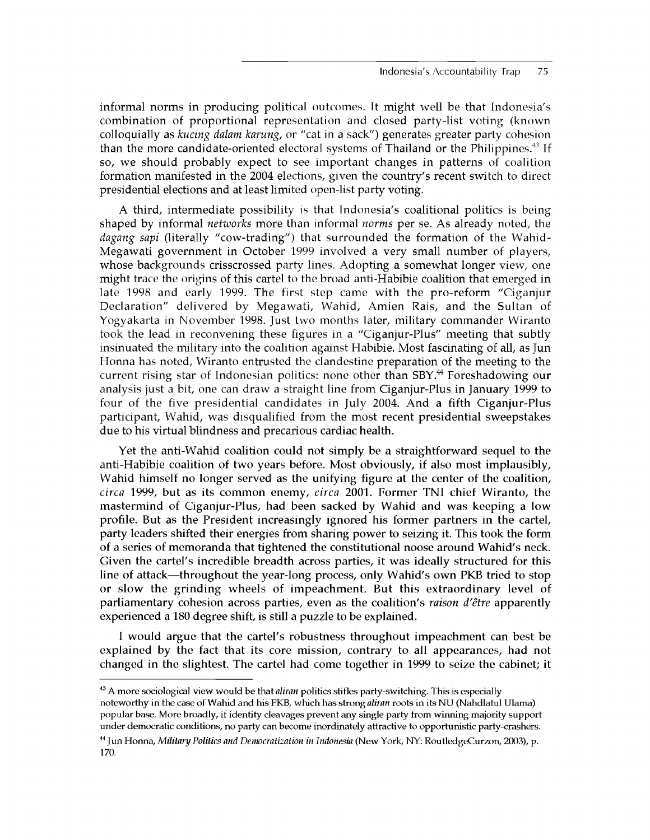informal norms in producing political outcomes. It might well be that Indonesia's combination of proportional representation and closed party-list voting (known colloquially as *kucing dalam karung,* or "cat in a sack") generates greater party cohesion than the more candidate-oriented electoral systems of Thailand or the Philippines. $43$  If so, we should probably expect to see important changes in patterns of coalition formation manifested in the 2004 elections, given the country's recent switch to direct presidential elections and at least limited open-list party voting.

A third, intermediate possibility is that Indonesia's coalitional politics is being shaped by informal *networks* more than informal *norms* per se. As already noted, the *dagang sapi* (literally "cow-trading") that surrounded the formation of the Wahid-Megawati government in October 1999 involved a very small number of players, whose backgrounds crisscrossed party lines. Adopting a somewhat longer view, one might trace the origins of this cartel to the broad anti-Habibie coalition that emerged in late 1998 and early 1999. The first step came with the pro-reform "Ciganjur Declaration" delivered by Megawati, Wahid, Amien Rais, and the Sultan of Yogyakarta in November 1998. Just two months later, military commander Wiranto took the lead in reconvening these figures in a "Ciganjur-Plus" meeting that subtly insinuated the military into the coalition against Habibie. Most fascinating of all, as Jun Honna has noted, Wiranto entrusted the clandestine preparation of the meeting to the current rising star of Indonesian politics: none other than SBY.<sup>44</sup> Foreshadowing our analysis just a bit, one can draw a straight line from Ciganjur-Plus in January 1999 to four of the five presidential candidates in July 2004. And a fifth Ciganjur-Plus participant, Wahid, was disqualified from the most recent presidential sweepstakes due to his virtual blindness and precarious cardiac health.

Yet the anti-Wahid coalition could not simply be a straightforward sequel to the anti-Habibie coalition of two years before. Most obviously, if also most implausibly, Wahid himself no longer served as the unifying figure at the center of the coalition, *circa* 1999, but as its common enemy, *circa* 2001. Former TNI chief Wiranto, the mastermind of Ciganjur-Plus, had been sacked by Wahid and was keeping a low profile. But as the President increasingly ignored his former partners in the cartel, party leaders shifted their energies from sharing power to seizing it. This took the form of a series of memoranda that tightened the constitutional noose around Wahid's neck. Given the cartel's incredible breadth across parties, it was ideally structured for this line of attack—throughout the year-long process, only Wahid's own PKB tried to stop or slow the grinding wheels of impeachment. But this extraordinary level of parliamentary cohesion across parties, even as the coalition's *raison d'etre* apparently experienced a 180 degree shift, is still a puzzle to be explained.

I would argue that the cartel's robustness throughout impeachment can best be explained by the fact that its core mission, contrary to all appearances, had not changed in the slightest. The cartel had come together in 1999 to seize the cabinet; it

<sup>43</sup> A more sociological view would be that *aliran* politics stifles party-switching. This is especially noteworthy in the case of Wahid and his PKB, which has strong *aliran* roots in its NU (Nahdlatul Ulama) popular base. More broadly, if identity cleavages prevent any single party from winning majority support under democratic conditions, no party can become inordinately attractive to opportunistic party-crashers.

<sup>44</sup> Jun Honna, *Military Politics and Democratization in Indonesia* (New York, NY: RoutledgeCurzon, 2003), p. 170.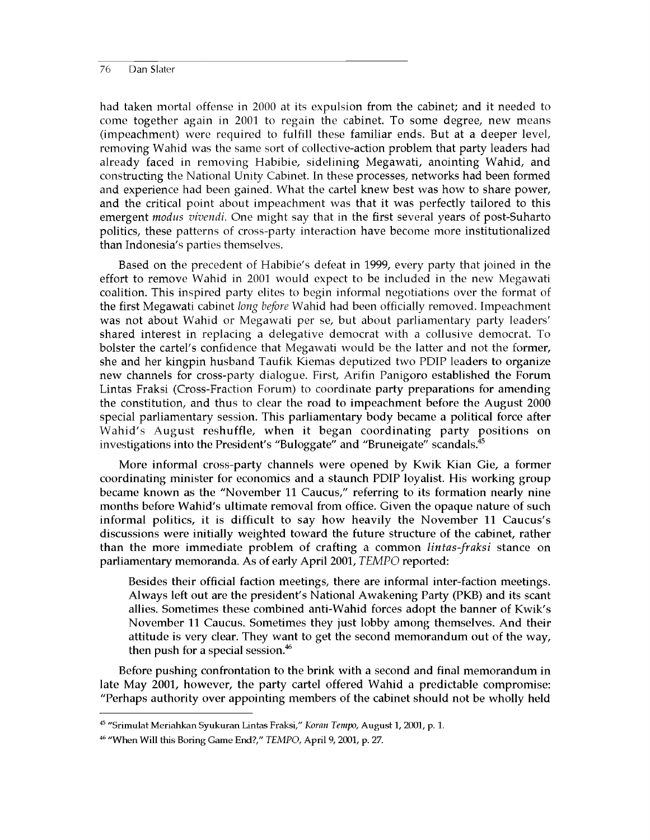had taken mortal offense in 2000 at its expulsion from the cabinet; and it needed to come together again in 2001 to regain the cabinet. To some degree, new means (impeachment) were required to fulfill these familiar ends. But at a deeper level, removing Wahid was the same sort of collective-action problem that party leaders had already faced in removing Habibie, sidelining Megawati, anointing Wahid, and constructing the National Unity Cabinet. In these processes, networks had been formed and experience had been gained. What the cartel knew best was how to share power, and the critical point about impeachment was that it was perfectly tailored to this emergent *modus vivendi.* One might say that in the first several years of post-Suharto politics, these patterns of cross-party interaction have become more institutionalized than Indonesia's parties themselves.

Based on the precedent of Habibie's defeat in 1999, every party that joined in the effort to remove Wahid in 2001 would expect to be included in the new Megawati coalition. This inspired party elites to begin informal negotiations over the format of the first Megawati cabinet *long before* Wahid had been officially removed. Impeachment was not about Wahid or Megawati per se, but about parliamentary party leaders' shared interest in replacing a delegative democrat with a collusive democrat. To bolster the cartel's confidence that Megawati would be the latter and not the former, she and her kingpin husband Taufik Kiemas deputized two PDIP leaders to organize new channels for cross-party dialogue. First, Arifin Panigoro established the Forum Lintas Fraksi (Cross-Fraction Forum) to coordinate party preparations for amending the constitution, and thus to clear the road to impeachment before the August 2000 special parliamentary session. This parliamentary body became a political force after Wahid's August reshuffle, when it began coordinating party positions on investigations into the President's "Buloggate" and "Bruneigate" scandals.<sup>45</sup>

More informal cross-party channels were opened by Kwik Kian Gie, a former coordinating minister for economics and a staunch PDIP loyalist. His working group became known as the "November 11 Caucus," referring to its formation nearly nine months before Wahid's ultimate removal from office. Given the opaque nature of such informal politics, it is difficult to say how heavily the November 11 Caucus's discussions were initially weighted toward the future structure of the cabinet, rather than the more immediate problem of crafting a common *lintas-fraksi* stance on parliamentary memoranda. As of early April 2001, *TEMPO* reported:

Besides their official faction meetings, there are informal inter-faction meetings. Always left out are the president's National Awakening Party (PKB) and its scant allies. Sometimes these combined anti-Wahid forces adopt the banner of Kwik's November 11 Caucus. Sometimes they just lobby among themselves. And their attitude is very clear. They want to get the second memorandum out of the way, then push for a special session.<sup>46</sup>

Before pushing confrontation to the brink with a second and final memorandum in late May 2001, however, the party cartel offered Wahid a predictable compromise: "Perhaps authority over appointing members of the cabinet should not be wholly held

<sup>45 &</sup>quot;Srimulat Meriahkan Syukuran Lintas Fraksi," *Koran Tempo,* August 1, 2001, p. 1.

<sup>46 &</sup>quot;When Will this Boring Game End?," *TEMPO,* April 9, 2001, p. 27.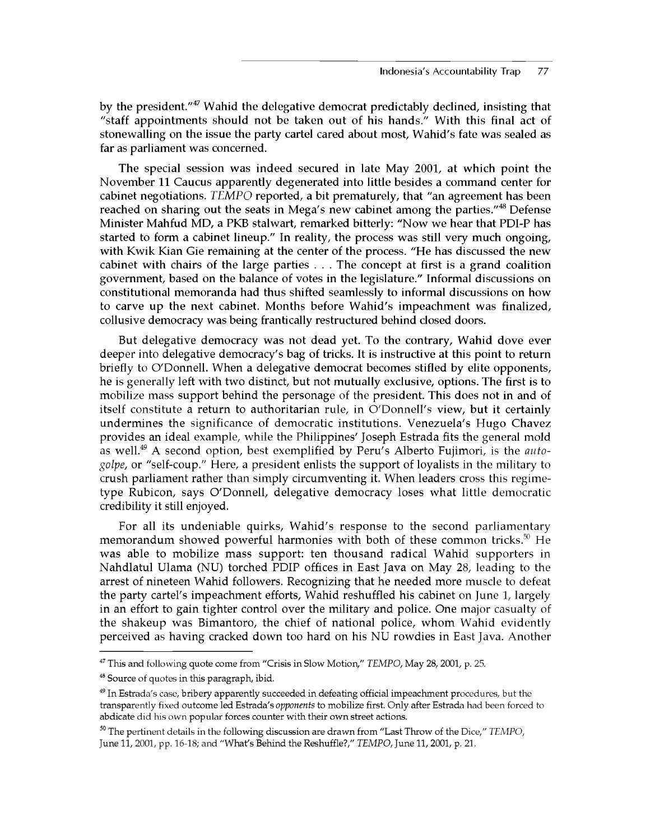by the president."<sup>47</sup> Wahid the delegative democrat predictably declined, insisting that "staff appointments should not be taken out of his hands." With this final act of stonewalling on the issue the party cartel cared about most, Wahid's fate was sealed as far as parliament was concerned.

The special session was indeed secured in late May 2001, at which point the November 11 Caucus apparently degenerated into little besides a command center for cabinet negotiations. *TEMPO* reported, a bit prematurely, that "an agreement has been reached on sharing out the seats in Mega's new cabinet among the parties."<sup>48</sup> Defense Minister Mahfud MD, a PKB stalwart, remarked bitterly: "Now we hear that PDI-P has started to form a cabinet lineup." In reality, the process was still very much ongoing, with Kwik Kian Gie remaining at the center of the process. "He has discussed the new cabinet with chairs of the large parties . . . The concept at first is a grand coalition government, based on the balance of votes in the legislature." Informal discussions on constitutional memoranda had thus shifted seamlessly to informal discussions on how to carve up the next cabinet. Months before Wahid's impeachment was finalized, collusive democracy was being frantically restructured behind closed doors.

But delegative democracy was not dead yet. To the contrary, Wahid dove ever deeper into delegative democracy's bag of tricks. It is instructive at this point to return briefly to O'Donnell. When a delegative democrat becomes stifled by elite opponents, he is generally left with two distinct, but not mutually exclusive, options. The first is to mobilize mass support behind the personage of the president. This does not in and of itself constitute a return to authoritarian rule, in O'Donnell's view, but it certainly undermines the significance of democratic institutions. Venezuela's Hugo Chavez provides an ideal example, while the Philippines' Joseph Estrada fits the general mold as well.49 A second option, best exemplified by Peru's Alberto Fujimori, is the *autogolpe,* or "self-coup." Here, a president enlists the support of loyalists in the military to crush parliament rather than simply circumventing it. When leaders cross this regimetype Rubicon, says O'Donnell, delegative democracy loses what little democratic credibility it still enjoyed.

For all its undeniable quirks, Wahid's response to the second parliamentary memorandum showed powerful harmonies with both of these common tricks.<sup>50</sup> He was able to mobilize mass support: ten thousand radical Wahid supporters in Nahdlatul Ulama (NU) torched PDIP offices in East Java on May 28, leading to the arrest of nineteen Wahid followers. Recognizing that he needed more muscle to defeat the party cartel's impeachment efforts, Wahid reshuffled his cabinet on June 1, largely in an effort to gain tighter control over the military and police. One major casualty of the shakeup was Bimantoro, the chief of national police, whom Wahid evidently perceived as having cracked down too hard on his NU rowdies in East Java. Another

<sup>47</sup> This and following quote come from "Crisis in Slow Motion," *TEMPO,* May 28, 2001, p. 25.

<sup>&</sup>lt;sup>48</sup> Source of quotes in this paragraph, ibid.

<sup>&</sup>lt;sup>49</sup> In Estrada's case, bribery apparently succeeded in defeating official impeachment procedures, but the transparently fixed outcome led Estrada's *opponents* to mobilize first. Only after Estrada had been forced to abdicate did his own popular forces counter with their own street actions.

<sup>50</sup> The pertinent details in the following discussion are drawn from "Last Throw of the Dice," *TEMPO,* June 11, 2001, pp. 16-18; and "What's Behind the Reshuffle?," *TEMPO,* June 11, 2001, p. 21.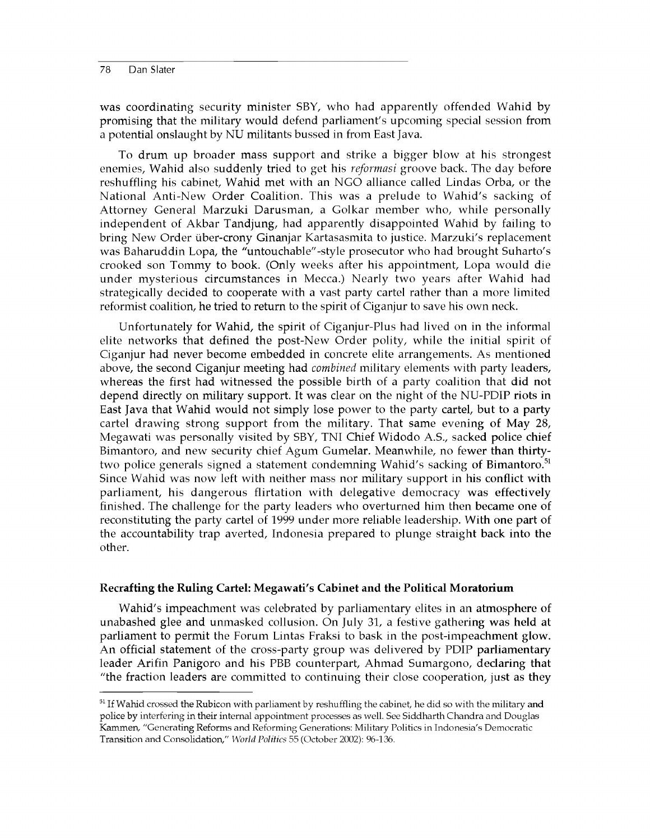was coordinating security minister SBY, who had apparently offended Wahid by promising that the military would defend parliament's upcoming special session from a potential onslaught by NU militants bussed in from East Java.

To drum up broader mass support and strike a bigger blow at his strongest enemies, Wahid also suddenly tried to get his *reformasi* groove back. The day before reshuffling his cabinet, Wahid met with an NGO alliance called Lindas Orba, or the National Anti-New Order Coalition. This was a prelude to Wahid's sacking of Attorney General Marzuki Darusman, a Golkar member who, while personally independent of Akbar Tandjung, had apparently disappointed Wahid by failing to bring New Order liber-crony Ginanjar Kartasasmita to justice. Marzuki's replacement was Baharuddin Lopa, the "untouchable"-style prosecutor who had brought Suharto's crooked son Tommy to book. (Only weeks after his appointment, Lopa would die under mysterious circumstances in Mecca.) Nearly two years after Wahid had strategically decided to cooperate with a vast party cartel rather than a more limited reformist coalition, he tried to return to the spirit of Ciganjur to save his own neck.

Unfortunately for Wahid, the spirit of Ciganjur-Plus had lived on in the informal elite networks that defined the post-New Order polity, while the initial spirit of Ciganjur had never become embedded in concrete elite arrangements. As mentioned above, the second Ciganjur meeting had *combined* military elements with party leaders, whereas the first had witnessed the possible birth of a party coalition that did not depend directly on military support. It was clear on the night of the NU-PDIP riots in East Java that Wahid would not simply lose power to the party cartel, but to a party cartel drawing strong support from the military. That same evening of May 28, Megawati was personally visited by SBY, TNI Chief Widodo A.S., sacked police chief Bimantoro, and new security chief Agum Gumelar. Meanwhile, no fewer than thirtytwo police generals signed a statement condemning Wahid's sacking of Bimantoro.<sup>51</sup> Since Wahid was now left with neither mass nor military support in his conflict with parliament, his dangerous flirtation with delegative democracy was effectively finished. The challenge for the party leaders who overturned him then became one of reconstituting the party cartel of 1999 under more reliable leadership. With one part of the accountability trap averted, Indonesia prepared to plunge straight back into the other.

# **Recrafting the Ruling Cartel: Megawati's Cabinet and the Political Moratorium**

Wahid's impeachment was celebrated by parliamentary elites in an atmosphere of unabashed glee and unmasked collusion. On July 31, a festive gathering was held at parliament to permit the Forum Lintas Fraksi to bask in the post-impeachment glow. An official statement of the cross-party group was delivered by PDIP parliamentary leader Arifin Panigoro and his PBB counterpart, Ahmad Sumargono, declaring that "the fraction leaders are committed to continuing their close cooperation, just as they

<sup>&</sup>lt;sup>51</sup> If Wahid crossed the Rubicon with parliament by reshuffling the cabinet, he did so with the military and police by interfering in their internal appointment processes as well. See Siddharth Chandra and Douglas Kammen, "Generating Reforms and Reforming Generations: Military Politics in Indonesia's Democratic Transition and Consolidation," *World Politics* 55 (October 2002): 96-136.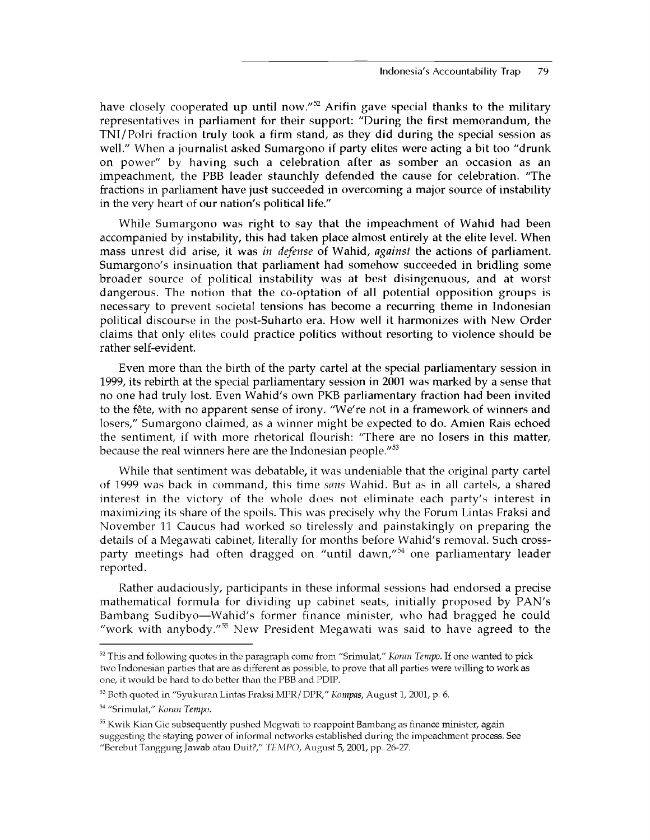have closely cooperated up until now."<sup>52</sup> Arifin gave special thanks to the military representatives in parliament for their support: "During the first memorandum, the TNI/Polri fraction truly took a firm stand, as they did during the special session as well." When a journalist asked Sumargono if party elites were acting a bit too "drunk on power" by having such a celebration after as somber an occasion as an impeachment, the PBB leader staunchly defended the cause for celebration. "The fractions in parliament have just succeeded in overcoming a major source of instability in the very heart of our nation's political life."

While Sumargono was right to say that the impeachment of Wahid had been accompanied by instability, this had taken place almost entirely at the elite level. When mass unrest did arise, it was *in defense* of Wahid, *against* the actions of parliament. Sumargono's insinuation that parliament had somehow succeeded in bridling some broader source of political instability was at best disingenuous, and at worst dangerous. The notion that the co-optation of all potential opposition groups is necessary to prevent societal tensions has become a recurring theme in Indonesian political discourse in the post-Suharto era. How well it harmonizes with New Order claims that only elites could practice politics without resorting to violence should be rather self-evident.

Even more than the birth of the party cartel at the special parliamentary session in 1999, its rebirth at the special parliamentary session in 2001 was marked by a sense that no one had truly lost. Even Wahid's own PKB parliamentary fraction had been invited to the fête, with no apparent sense of irony. "We're not in a framework of winners and losers," Sumargono claimed, as a winner might be expected to do. Amien Rais echoed the sentiment, if with more rhetorical flourish: "There are no losers in this matter, because the real winners here are the Indonesian people."<sup>53</sup>

While that sentiment was debatable, it was undeniable that the original party cartel of 1999 was back in command, this time *sans* Wahid. But as in all cartels, a shared interest in the victory of the whole does not eliminate each party's interest in maximizing its share of the spoils. This was precisely why the Forum Lintas Fraksi and November 11 Caucus had worked so tirelessly and painstakingly on preparing the details of a Megawati cabinet, literally for months before Wahid's removal. Such crossparty meetings had often dragged on "until dawn,"<sup>54</sup> one parliamentary leader reported.

Rather audaciously, participants in these informal sessions had endorsed a precise mathematical formula for dividing up cabinet seats, initially proposed by PAN's Bambang Sudibyo—Wahid's former finance minister, who had bragged he could "work with anybody."<sup>55</sup> New President Megawati was said to have agreed to the

<sup>52</sup> This and following quotes in the paragraph come from "Srimulat," *Koran Tempo.* If one wanted to pick two Indonesian parties that are as different as possible, to prove that all parties were willing to work as one, it would be hard to do better than the PBB and PDIP.

<sup>53</sup> Both quoted in "Syukuran Lintas Fraksi MPR/ DPR," *Kompas,* August 1, 2001, p. 6.

<sup>54 &</sup>quot;Srimulat," *Koran Tempo.*

<sup>&</sup>lt;sup>55</sup> Kwik Kian Gie subsequently pushed Megwati to reappoint Bambang as finance minister, again suggesting the staying power of informal networks established during the impeachment process. See "Berebut Tanggung Jawab atau Duit?," *TEMPO,* August 5, 2001, pp. 26-27.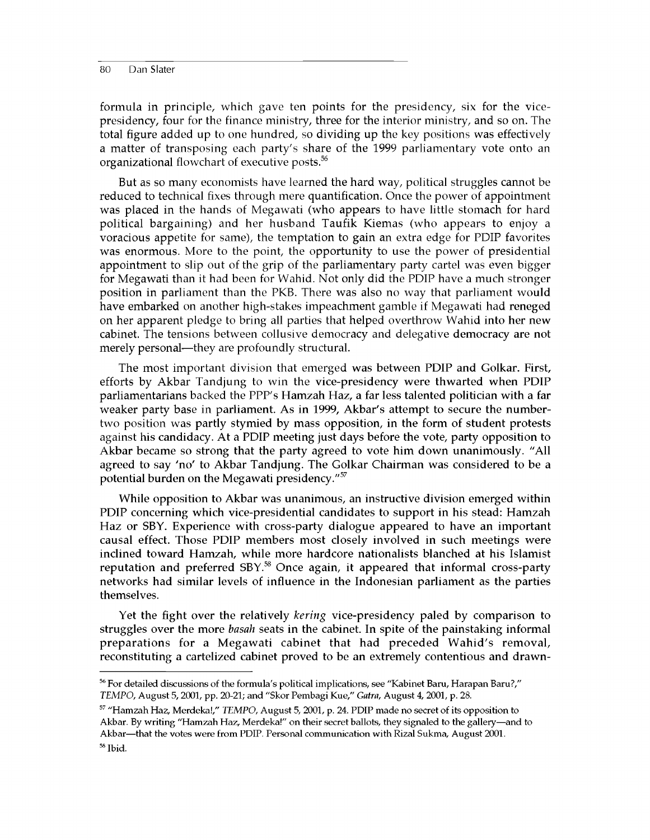formula in principle, which gave ten points for the presidency, six for the vicepresidency, four for the finance ministry, three for the interior ministry, and so on. The total figure added up to one hundred, so dividing up the key positions was effectively a matter of transposing each party's share of the 1999 parliamentary vote onto an organizational flowchart of executive posts.<sup>56</sup>

But as so many economists have learned the hard way, political struggles cannot be reduced to technical fixes through mere quantification. Once the power of appointment was placed in the hands of Megawati (who appears to have little stomach for hard political bargaining) and her husband Taufik Kiemas (who appears to enjoy a voracious appetite for same), the temptation to gain an extra edge for PDIP favorites was enormous. More to the point, the opportunity to use the power of presidential appointment to slip out of the grip of the parliamentary party cartel was even bigger for Megawati than it had been for Wahid. Not only did the PDIP have a much stronger position in parliament than the PKB. There was also no way that parliament would have embarked on another high-stakes impeachment gamble if Megawati had reneged on her apparent pledge to bring all parties that helped overthrow Wahid into her new cabinet. The tensions between collusive democracy and delegative democracy are not merely personal—they are profoundly structural.

The most important division that emerged was between PDIP and Golkar. First, efforts by Akbar Tandjung to win the vice-presidency were thwarted when PDIP parliamentarians backed the PPP's Hamzah Haz, a far less talented politician with a far weaker party base in parliament. As in 1999, Akbar's attempt to secure the numbertwo position was partly stymied by mass opposition, in the form of student protests against his candidacy. At a PDIP meeting just days before the vote, party opposition to Akbar became so strong that the party agreed to vote him down unanimously. "All agreed to say 'no' to Akbar Tandjung. The Golkar Chairman was considered to be a potential burden on the Megawati presidency."<sup>57</sup>

While opposition to Akbar was unanimous, an instructive division emerged within PDIP concerning which vice-presidential candidates to support in his stead: Hamzah Haz or SBY. Experience with cross-party dialogue appeared to have an important causal effect. Those PDIP members most closely involved in such meetings were inclined toward Hamzah, while more hardcore nationalists blanched at his Islamist reputation and preferred SBY.<sup>58</sup> Once again, it appeared that informal cross-party networks had similar levels of influence in the Indonesian parliament as the parties themselves.

Yet the fight over the relatively *kering* vice-presidency paled by comparison to struggles over the more *basah* seats in the cabinet. In spite of the painstaking informal preparations for a Megawati cabinet that had preceded Wahid's removal, reconstituting a cartelized cabinet proved to be an extremely contentious and drawn-

<sup>56</sup> For detailed discussions of the formula's political implications, see "Kabinet Baru, Harapan Baru?," *TEMPO,* August 5, 2001, pp. 20-21; and "Skor Pembagi Kue," *Gatra,* August 4, 2001, p. 28.

<sup>57 &</sup>quot;Hamzah Haz, Merdeka!," *TEMPO,* August 5, 2001, p. 24. PDIP made no secret of its opposition to Akbar. By writing "Hamzah Haz, Merdeka!" on their secret ballots, they signaled to the gallery—and to Akbar—that the votes were from PDIP. Personal communication with Rizal Sukma, August 2001. 58 Ibid.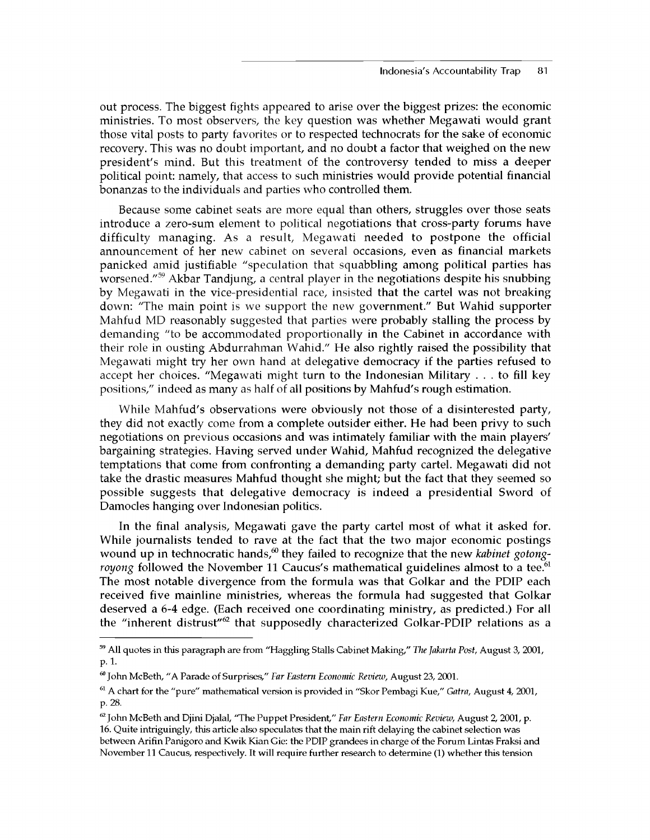out process. The biggest fights appeared to arise over the biggest prizes: the economic ministries. To most observers, the key question was whether Megawati would grant those vital posts to party favorites or to respected technocrats for the sake of economic recovery. This was no doubt important, and no doubt a factor that weighed on the new president's mind. But this treatment of the controversy tended to miss a deeper political point: namely, that access to such ministries would provide potential financial bonanzas to the individuals and parties who controlled them.

Because some cabinet seats are more equal than others, struggles over those seats introduce a zero-sum element to political negotiations that cross-party forums have difficulty managing. As a result, Megawati needed to postpone the official announcement of her new cabinet on several occasions, even as financial markets panicked amid justifiable "speculation that squabbling among political parties has worsened."<sup>59</sup> Akbar Tandjung, a central player in the negotiations despite his snubbing by Megawati in the vice-presidential race, insisted that the cartel was not breaking down: "The main point is we support the new government." But Wahid supporter Mahfud MD reasonably suggested that parties were probably stalling the process by demanding "to be accommodated proportionally in the Cabinet in accordance with their role in ousting Abdurrahman Wahid." He also rightly raised the possibility that Megawati might try her own hand at delegative democracy if the parties refused to accept her choices. "Megawati might turn to the Indonesian Military . . . to fill key positions," indeed as many as half of all positions by Mahfud's rough estimation.

While Mahfud's observations were obviously not those of a disinterested party, they did not exactly come from a complete outsider either. He had been privy to such negotiations on previous occasions and was intimately familiar with the main players' bargaining strategies. Having served under Wahid, Mahfud recognized the delegative temptations that come from confronting a demanding party cartel. Megawati did not take the drastic measures Mahfud thought she might; but the fact that they seemed so possible suggests that delegative democracy is indeed a presidential Sword of Damocles hanging over Indonesian politics.

In the final analysis, Megawati gave the party cartel most of what it asked for. While journalists tended to rave at the fact that the two major economic postings wound up in technocratic hands,<sup>60</sup> they failed to recognize that the new *kabinet gotongroyong* followed the November 11 Caucus's mathematical guidelines almost to a tee.<sup>61</sup> The most notable divergence from the formula was that Golkar and the PDIP each received five mainline ministries, whereas the formula had suggested that Golkar deserved a 6-4 edge. (Each received one coordinating ministry, as predicted.) For all the "inherent distrust" $62$  that supposedly characterized Golkar-PDIP relations as a

<sup>59</sup> All quotes in this paragraph are from "Haggling Stalls Cabinet Making," *The Jakarta Post,* August 3, 2001, **p. 1.**

<sup>60</sup> John McBeth, "A Parade of Surprises," *Far Eastern Economic Review,* August 23, 2001.

<sup>61</sup>A chart for the "pure" mathematical version is provided in "Skor Pembagi Kue," *Gatra,* August 4, 2001, **p. 28.**

<sup>62</sup> John McBeth and Djini Djalal, "The Puppet President," *Far Eastern Economic Review,* August 2, 2001, p. 16. Quite intriguingly, this article also speculates that the main rift delaying the cabinet selection was between Arifin Panigoro and Kwik Kian Gie: the PDIP grandees in charge of the Forum Lintas Fraksi and November 11 Caucus, respectively. It will require further research to determine (1) whether this tension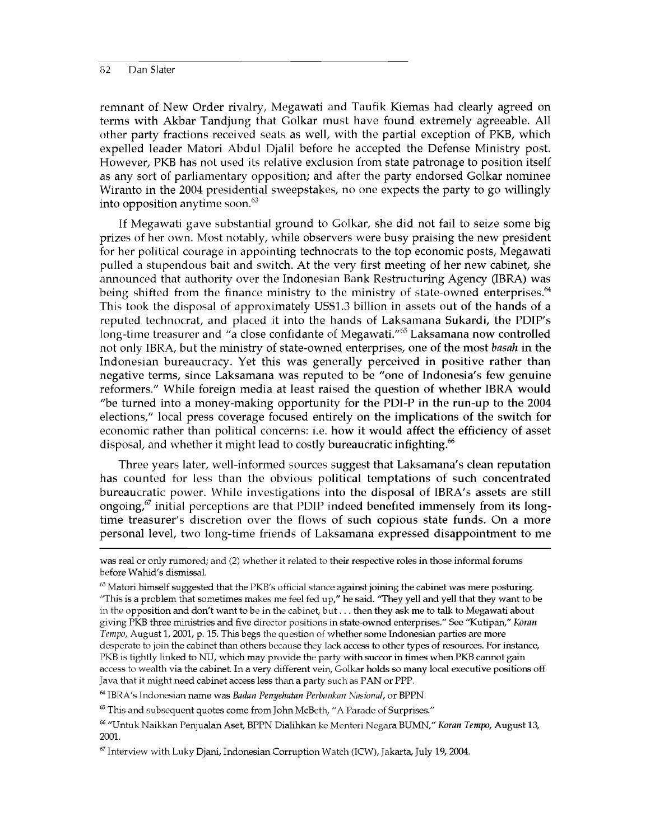remnant of New Order rivalry, Megawati and Taufik Kiemas had clearly agreed on terms with Akbar Tandjung that Golkar must have found extremely agreeable. All other party fractions received seats as well, with the partial exception of PKB, which expelled leader Matori Abdul Djalil before he accepted the Defense Ministry post. However, PKB has not used its relative exclusion from state patronage to position itself as any sort of parliamentary opposition; and after the party endorsed Golkar nominee Wiranto in the 2004 presidential sweepstakes, no one expects the party to go willingly into opposition anytime soon.<sup>63</sup>

If Megawati gave substantial ground to Golkar, she did not fail to seize some big prizes of her own. Most notably, while observers were busy praising the new president for her political courage in appointing technocrats to the top economic posts, Megawati pulled a stupendous bait and switch. At the very first meeting of her new cabinet, she announced that authority over the Indonesian Bank Restructuring Agency (IBRA) was being shifted from the finance ministry to the ministry of state-owned enterprises.<sup>64</sup> This took the disposal of approximately US\$1.3 billion in assets out of the hands of a reputed technocrat, and placed it into the hands of Laksamana Sukardi, the PDIP's long-time treasurer and "a close confidante of Megawati."<sup>65</sup> Laksamana now controlled not only IBRA, but the ministry of state-owned enterprises, one of the most *basah* in the Indonesian bureaucracy. Yet this was generally perceived in positive rather than negative terms, since Laksamana was reputed to be "one of Indonesia's few genuine reformers." While foreign media at least raised the question of whether IBRA would "be turned into a money-making opportunity for the PDI-P in the run-up to the 2004 elections," local press coverage focused entirely on the implications of the switch for economic rather than political concerns: i.e. how it would affect the efficiency of asset disposal, and whether it might lead to costly bureaucratic infighting.<sup>66</sup>

Three years later, well-informed sources suggest that Laksamana's clean reputation has counted for less than the obvious political temptations of such concentrated bureaucratic power. While investigations into the disposal of IBRA's assets are still ongoing, $\delta^{\sigma}$  initial perceptions are that PDIP indeed benefited immensely from its longtime treasurer's discretion over the flows of such copious state funds. On a more personal level, two long-time friends of Laksamana expressed disappointment to me

64 IBRA's Indonesian name was *Badan Penyehatan Perbankan Nasional,* or BPPN.

<sup>65</sup> This and subsequent quotes come from John McBeth, "A Parade of Surprises."

was real or only rumored; and (2) whether it related to their respective roles in those informal forums before Wahid's dismissal.

 $63$  Matori himself suggested that the PKB's official stance against joining the cabinet was mere posturing. "This is a problem that sometimes makes me feel fed up," he said. "They yell and yell that they want to be in the opposition and don't want to be in the cabinet, but.. . then they ask me to talk to Megawati about giving PKB three ministries and five director positions in state-owned enterprises." See "Kutipan," Koran *Tempo,* August 1, 2001, p. 15. This begs the question of whether some Indonesian parties are more desperate to join the cabinet than others because they lack access to other types of resources. For instance, PKB is tightly linked to NU, which may provide the party with succor in times when PKB cannot gain access to wealth via the cabinet. In a very different vein, Golkar holds so many local executive positions off Java that it might need cabinet access less than a party such as PAN or PPP.

<sup>66 &</sup>quot;Untuk Naikkan Penjualan Aset, BPPN Dialihkan ke Menteri Negara BUMN," *Koran Tempo,* August 13, 2001.

 $67$  Interview with Luky Djani, Indonesian Corruption Watch (ICW), Jakarta, July 19, 2004.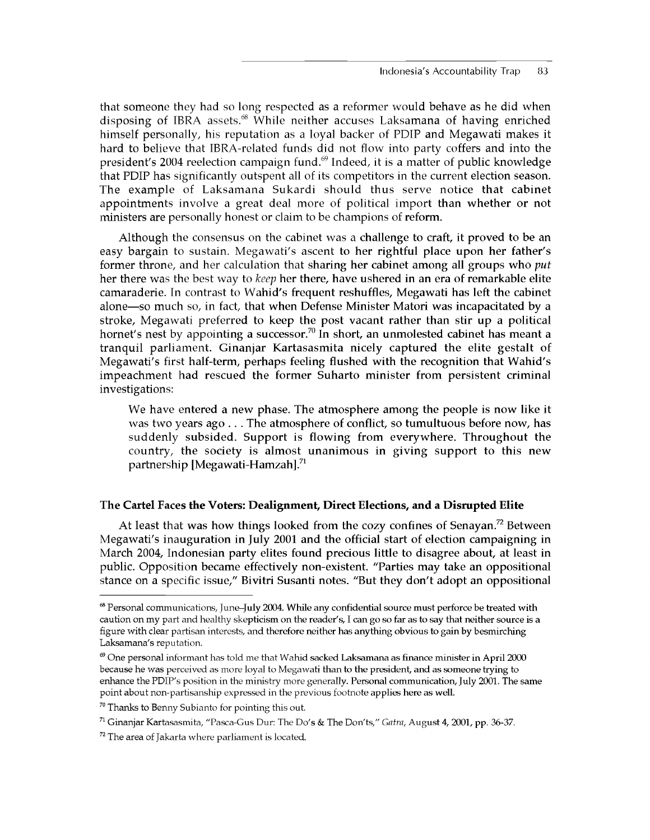that someone they had so long respected as a reformer would behave as he did when disposing of IBRA assets.<sup>68</sup> While neither accuses Laksamana of having enriched himself personally, his reputation as a loyal backer of PDIP and Megawati makes it hard to believe that IBRA-related funds did not flow into party coffers and into the president's 2004 reelection campaign fund. $69$  Indeed, it is a matter of public knowledge that PDIP has significantly outspent all of its competitors in the current election season. The example of Laksamana Sukardi should thus serve notice that cabinet appointments involve a great deal more of political import than whether or not ministers are personally honest or claim to be champions of reform.

Although the consensus on the cabinet was a challenge to craft, it proved to be an easy bargain to sustain. Megawati's ascent to her rightful place upon her father's former throne, and her calculation that sharing her cabinet among all groups who *put* her there was the best way to *keep* her there, have ushered in an era of remarkable elite camaraderie. In contrast to Wahid's frequent reshuffles, Megawati has left the cabinet alone—so much so, in fact, that when Defense Minister Matori was incapacitated by a stroke, Megawati preferred to keep the post vacant rather than stir up a political hornet's nest by appointing a successor.<sup>70</sup> In short, an unmolested cabinet has meant a tranquil parliament. Ginanjar Kartasasmita nicely captured the elite gestalt of Megawati's first half-term, perhaps feeling flushed with the recognition that Wahid's impeachment had rescued the former Suharto minister from persistent criminal investigations:

We have entered a new phase. The atmosphere among the people is now like it was two years ago . . . The atmosphere of conflict, so tumultuous before now, has suddenly subsided. Support is flowing from everywhere. Throughout the country, the society is almost unanimous in giving support to this new partnership [Megawati-Hamzah].<sup>71</sup>

# **The Cartel Faces the Voters: Dealignment, Direct Elections, and a Disrupted Elite**

At least that was how things looked from the cozy confines of Senayan.<sup>72</sup> Between Megawati's inauguration in July 2001 and the official start of election campaigning in March 2004, Indonesian party elites found precious little to disagree about, at least in public. Opposition became effectively non-existent. "Parties may take an oppositional stance on a specific issue," Bivitri Susanti notes. "But they don't adopt an oppositional

<sup>68</sup> Personal communications, June-July 2004. While any confidential source must perforce be treated with caution on my part and healthy skepticism on the reader's, I can go so far as to say that neither source is a figure with clear partisan interests, and therefore neither has anything obvious to gain by besmirching Laksamana's reputation.

 $\degree$  One personal informant has told me that Wahid sacked Laksamana as finance minister in April 2000 because he was perceived as more loyal to Megawati than to the president, and as someone trying to enhance the PDIP's position in the ministry more generally. Personal communication, July 2001. The same point about non-partisanship expressed in the previous footnote applies here as well.

 $70$  Thanks to Benny Subianto for pointing this out.

<sup>71</sup> Ginanjar Kartasasmita, "Pasca-Gus Dur: The Do's & The Don'ts," *Gatra,* August 4, 2001, pp. 36-37.

 $72$  The area of Jakarta where parliament is located.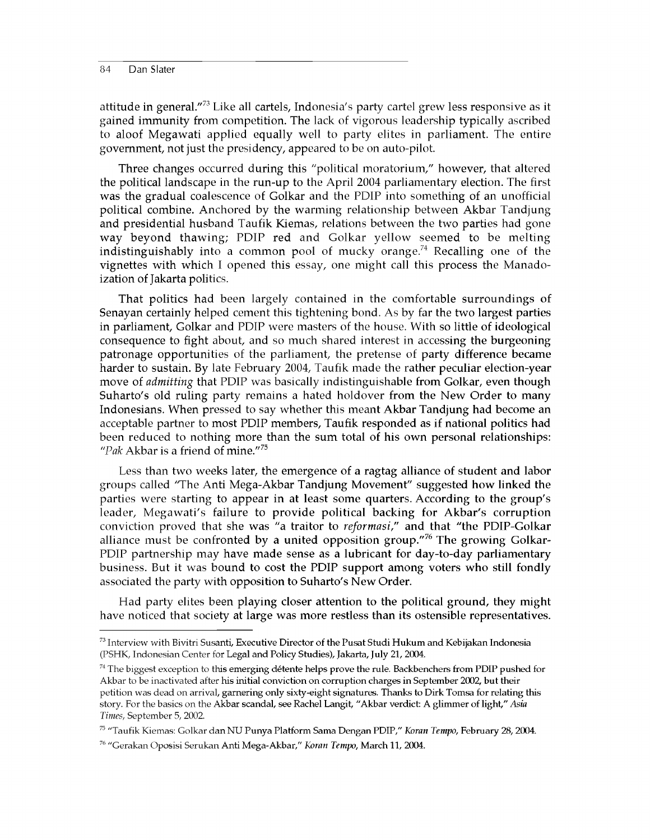attitude in general."<sup>73</sup> Like all cartels, Indonesia's party cartel grew less responsive as it gained immunity from competition. The lack of vigorous leadership typically ascribed to aloof Megawati applied equally well to party elites in parliament. The entire government, not just the presidency, appeared to be on auto-pilot.

Three changes occurred during this "political moratorium," however, that altered the political landscape in the run-up to the April 2004 parliamentary election. The first was the gradual coalescence of Golkar and the PDIP into something of an unofficial political combine. Anchored by the warming relationship between Akbar Tandjung and presidential husband Taufik Kiemas, relations between the two parties had gone way beyond thawing; PDIP red and Golkar yellow seemed to be melting indistinguishably into a common pool of mucky orange.<sup>74</sup> Recalling one of the vignettes with which I opened this essay, one might call this process the Manadoization of Jakarta politics.

That politics had been largely contained in the comfortable surroundings of Senayan certainly helped cement this tightening bond. As by far the two largest parties in parliament, Golkar and PDIP were masters of the house. With so little of ideological consequence to fight about, and so much shared interest in accessing the burgeoning patronage opportunities of the parliament, the pretense of party difference became harder to sustain. By late February 2004, Taufik made the rather peculiar election-year move of *admitting* that PDIP was basically indistinguishable from Golkar, even though Suharto's old ruling party remains a hated holdover from the New Order to many Indonesians. When pressed to say whether this meant Akbar Tandjung had become an acceptable partner to most PDIP members, Taufik responded as if national politics had been reduced to nothing more than the sum total of his own personal relationships: *"Pak* Akbar is a friend of mine."75

Less than two weeks later, the emergence of a ragtag alliance of student and labor groups called 'The Anti Mega-Akbar Tandjung Movement" suggested how linked the parties were starting to appear in at least some quarters. According to the group's leader, Megawati's failure to provide political backing for Akbar's corruption conviction proved that she was "a traitor to *reformasi,"* and that "the PDIP-Golkar alliance must be confronted by a united opposition group."<sup>76</sup> The growing Golkar-PDIP partnership may have made sense as a lubricant for day-to-day parliamentary business. But it was bound to cost the PDIP support among voters who still fondly associated the party with opposition to Suharto's New Order.

Had party elites been playing closer attention to the political ground, they might have noticed that society at large was more restless than its ostensible representatives.

<sup>73</sup> Interview with Bivitri Susanti, Executive Director of the Pusat Studi Hukum and Kebijakan Indonesia (PSHK, Indonesian Center for Legal and Policy Studies), Jakarta, July 21, 2004.

 $74$  The biggest exception to this emerging détente helps prove the rule. Backbenchers from PDIP pushed for Akbar to be inactivated after his initial conviction on corruption charges in September 2002, but their petition was dead on arrival, garnering only sixty-eight signatures. Thanks to Dirk Tomsa for relating this story. For the basics on the Akbar scandal, see Rachel Langit, "Akbar verdict: A glimmer of light," *Asia Times,* September 5, 2002.

<sup>75 &</sup>quot;Taufik Kiemas: Golkar dan NU Punya Platform Sama Dengan PDIP," *Koran Tempo,* February 28, 2004.

<sup>76 &</sup>quot;Gerakan Oposisi Serukan Anti Mega-Akbar," *Koran Tempo,* March 11, 2004.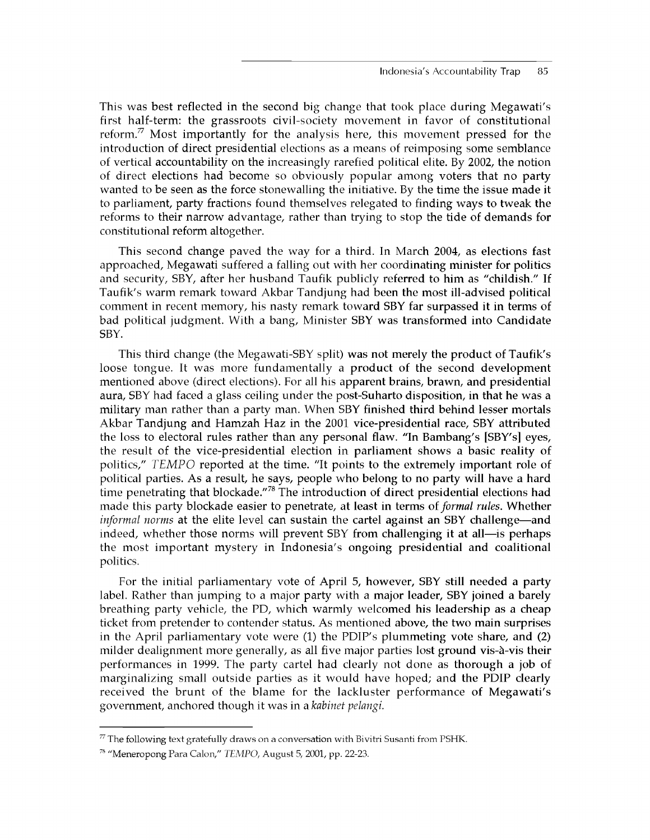This was best reflected in the second big change that took place during Megawati's first half-term: the grassroots civil-society movement in favor of constitutional reform.<sup>77</sup> Most importantly for the analysis here, this movement pressed for the introduction of direct presidential elections as a means of reimposing some semblance of vertical accountability on the increasingly rarefied political elite. By 2002, the notion of direct elections had become so obviously popular among voters that no party wanted to be seen as the force stonewalling the initiative. By the time the issue made it to parliament, party fractions found themselves relegated to finding ways to tweak the reforms to their narrow advantage, rather than trying to stop the tide of demands for constitutional reform altogether.

This second change paved the way for a third. In March 2004, as elections fast approached, Megawati suffered a falling out with her coordinating minister for politics and security, SBY, after her husband Taufik publicly referred to him as "childish." If Taufik's warm remark toward Akbar Tandjung had been the most ill-advised political comment in recent memory, his nasty remark toward SBY far surpassed it in terms of bad political judgment. With a bang, Minister SBY was transformed into Candidate SBY.

This third change (the Megawati-SBY split) was not merely the product of Taufik's loose tongue. It was more fundamentally a product of the second development mentioned above (direct elections). For all his apparent brains, brawn, and presidential aura, SBY had faced a glass ceiling under the post-Suharto disposition, in that he was a military man rather than a party man. When SBY finished third behind lesser mortals Akbar Tandjung and Hamzah Haz in the 2001 vice-presidential race, SBY attributed the loss to electoral rules rather than any personal flaw. "In Bambang's [SBY's] eyes, the result of the vice-presidential election in parliament shows a basic reality of politics," *TEMPO* reported at the time. "It points to the extremely important role of political parties. As a result, he says, people who belong to no party will have a hard time penetrating that blockade."<sup>78</sup> The introduction of direct presidential elections had made this party blockade easier to penetrate, at least in terms of *formal rules.* Whether *informal norms* at the elite level can sustain the cartel against an SBY challenge—and indeed, whether those norms will prevent SBY from challenging it at all—is perhaps the most important mystery in Indonesia's ongoing presidential and coalitional politics.

For the initial parliamentary vote of April 5, however, SBY still needed a party label. Rather than jumping to a major party with a major leader, SBY joined a barely breathing party vehicle, the PD, which warmly welcomed his leadership as a cheap ticket from pretender to contender status. As mentioned above, the two main surprises in the April parliamentary vote were (1) the PDIP's plummeting vote share, and (2) milder dealignment more generally, as all five major parties lost ground vis-à-vis their performances in 1999. The party cartel had clearly not done as thorough a job of marginalizing small outside parties as it would have hoped; and the PDIP clearly received the brunt of the blame for the lackluster performance of Megawati's government, anchored though it was in a *kabinet pelangi.*

 $77$  The following text gratefully draws on a conversation with Bivitri Susanti from PSHK.

<sup>78 &</sup>quot;Meneropong Para Calon," *TEMPO,* August 5, 2001, pp. 22-23.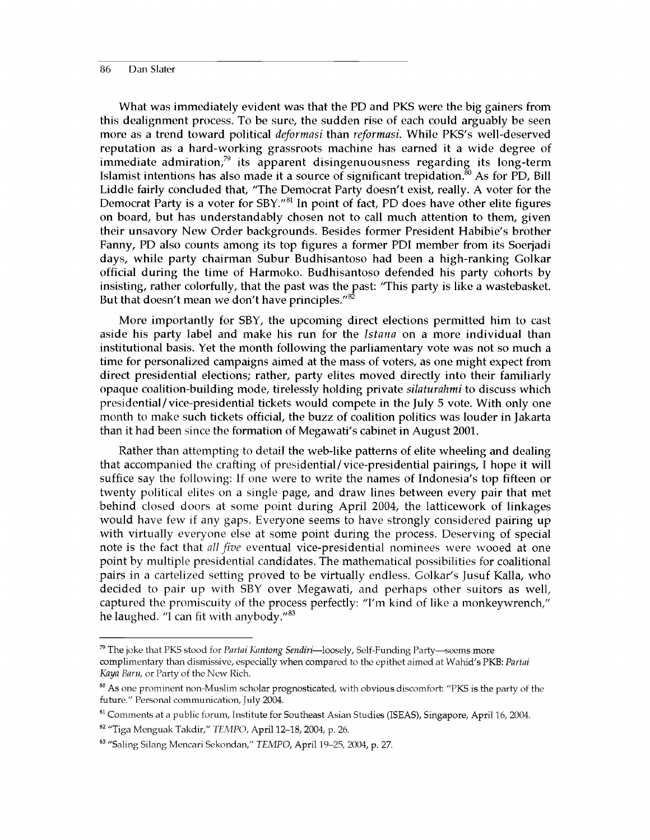What was immediately evident was that the PD and PKS were the big gainers from this dealignment process. To be sure, the sudden rise of each could arguably be seen more as a trend toward political *deformasi* than *reformasi.* While PKS's well-deserved reputation as a hard-working grassroots machine has earned it a wide degree of immediate admiration, $79$  its apparent disingenuousness regarding its long-term Islamist intentions has also made it a source of significant trepidation.<sup>80</sup> As for PD, Bill Liddle fairly concluded that, "The Democrat Party doesn't exist, really. A voter for the Democrat Party is a voter for SBY."<sup>81</sup> In point of fact, PD does have other elite figures on board, but has understandably chosen not to call much attention to them, given their unsavory New Order backgrounds. Besides former President Habibie's brother Fanny, PD also counts among its top figures a former PDI member from its Soerjadi days, while party chairman Subur Budhisantoso had been a high-ranking Golkar official during the time of Harmoko. Budhisantoso defended his party cohorts by insisting, rather colorfully, that the past was the past: 'This party is like a wastebasket. But that doesn't mean we don't have principles."<sup>82</sup>

More importantly for SBY, the upcoming direct elections permitted him to cast aside his party label and make his run for the *Istana* on a more individual than institutional basis. Yet the month following the parliamentary vote was not so much a time for personalized campaigns aimed at the mass of voters, as one might expect from direct presidential elections; rather, party elites moved directly into their familiarly opaque coalition-building mode, tirelessly holding private *silaturahmi* to discuss which presidential/vice-presidential tickets would compete in the July 5 vote. With only one month to make such tickets official, the buzz of coalition politics was louder in Jakarta than it had been since the formation of Megawati's cabinet in August 2001.

Rather than attempting to detail the web-like patterns of elite wheeling and dealing that accompanied the crafting of presidential/vice-presidential pairings, I hope it will suffice say the following: If one were to write the names of Indonesia's top fifteen or twenty political elites on a single page, and draw lines between every pair that met behind closed doors at some point during April 2004, the latticework of linkages would have few if any gaps. Everyone seems to have strongly considered pairing up with virtually everyone else at some point during the process. Deserving of special note is the fact that *all five* eventual vice-presidential nominees were wooed at one point by multiple presidential candidates. The mathematical possibilities for coalitional pairs in a cartelized setting proved to be virtually endless. Golkar's Jusuf Kalla, who decided to pair up with SBY over Megawati, and perhaps other suitors as well, captured the promiscuity of the process perfectly: "I'm kind of like a monkeywrench," he laughed. "I can fit with anybody."<sup>83</sup>

<sup>79</sup> The joke that PKS stood for *Partai Kantong Sendiri*—loosely, Self-Funding Party—seems more complimentary than dismissive, especially when compared to the epithet aimed at Wahid's PKB: *Partai Kaya Baru,* or Party of the New Rich.

<sup>&</sup>lt;sup>80</sup> As one prominent non-Muslim scholar prognosticated, with obvious discomfort: "PKS is the party of the future." Personal communication, July 2004.

<sup>&</sup>lt;sup>81</sup> Comments at a public forum, Institute for Southeast Asian Studies (ISEAS), Singapore, April 16, 2004.

<sup>82 &</sup>quot;Tiga Menguak Takdir," *TEMPO,* April 12-18, 2004, p. 26.

<sup>83 &</sup>quot;Saling Silang Mencari Sekondan," *TEMPO,* April 19-25, 2004, p. 27.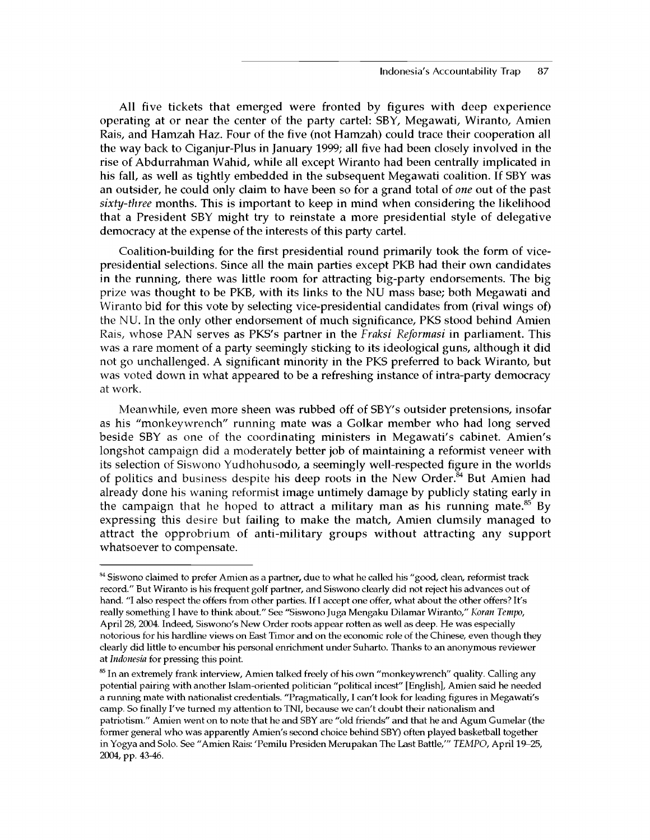All five tickets that emerged were fronted by figures with deep experience operating at or near the center of the party cartel: SBY, Megawati, Wiranto, Amien Rais, and Hamzah Haz. Four of the five (not Hamzah) could trace their cooperation all the way back to Ciganjur-Plus in January 1999; all five had been closely involved in the rise of Abdurrahman Wahid, while all except Wiranto had been centrally implicated in his fall, as well as tightly embedded in the subsequent Megawati coalition. If SBY was an outsider, he could only claim to have been so for a grand total of *one* out of the past *sixty-three* months. This is important to keep in mind when considering the likelihood that a President SBY might try to reinstate a more presidential style of delegative democracy at the expense of the interests of this party cartel.

Coalition-building for the first presidential round primarily took the form of vicepresidential selections. Since all the main parties except PKB had their own candidates in the running, there was little room for attracting big-party endorsements. The big prize was thought to be PKB, with its links to the NU mass base; both Megawati and Wiranto bid for this vote by selecting vice-presidential candidates from (rival wings of) the NU. In the only other endorsement of much significance, PKS stood behind Amien Rais, whose PAN serves as PKS's partner in the *Fraksi Reformasi* in parliament. This was a rare moment of a party seemingly sticking to its ideological guns, although it did not go unchallenged. A significant minority in the PKS preferred to back Wiranto, but was voted down in what appeared to be a refreshing instance of intra-party democracy at work.

Meanwhile, even more sheen was rubbed off of SBY's outsider pretensions, insofar as his "monkeywrench" running mate was a Golkar member who had long served beside SBY as one of the coordinating ministers in Megawati's cabinet. Amien's longshot campaign did a moderately better job of maintaining a reformist veneer with its selection of Siswono Yudhohusodo, a seemingly well-respected figure in the worlds of politics and business despite his deep roots in the New Order.<sup>84</sup> But Amien had already done his waning reformist image untimely damage by publicly stating early in the campaign that he hoped to attract a military man as his running mate.<sup>85</sup> By expressing this desire but failing to make the match, Amien clumsily managed to attract the opprobrium of anti-military groups without attracting any support whatsoever to compensate.

<sup>&</sup>lt;sup>84</sup> Siswono claimed to prefer Amien as a partner, due to what he called his "good, clean, reformist track record." But Wiranto is his frequent golf partner, and Siswono clearly did not reject his advances out of hand. "I also respect the offers from other parties. If I accept one offer, what about the other offers? It's really something I have to think about." See "Siswono Juga Mengaku Dilamar Wiranto," *Koran Tempo,* April 28, 2004. Indeed, Siswono's New Order roots appear rotten as well as deep. He was especially notorious for his hardline views on East Timor and on the economic role of the Chinese, even though they clearly did little to encumber his personal enrichment under Suharto. Thanks to an anonymous reviewer at *Indonesia* for pressing this point.

<sup>&</sup>lt;sup>85</sup> In an extremely frank interview, Amien talked freely of his own "monkeywrench" quality. Calling any potential pairing with another Islam-oriented politician "political incest" [English], Amien said he needed a running mate with nationalist credentials. "Pragmatically, I can't look for leading figures in Megawati's camp. So finally I've turned my attention to TNI, because we can't doubt their nationalism and patriotism." Amien went on to note that he and SBY are "old friends" and that he and Agum Gumelar (the former general who was apparently Amien's second choice behind SBY) often played basketball together in Yogya and Solo. See "Amien Rais: 'Pemilu Presiden Merupakan The Last Battle,"' *TEMPO,* April 19-25, 2004, pp. 43-46.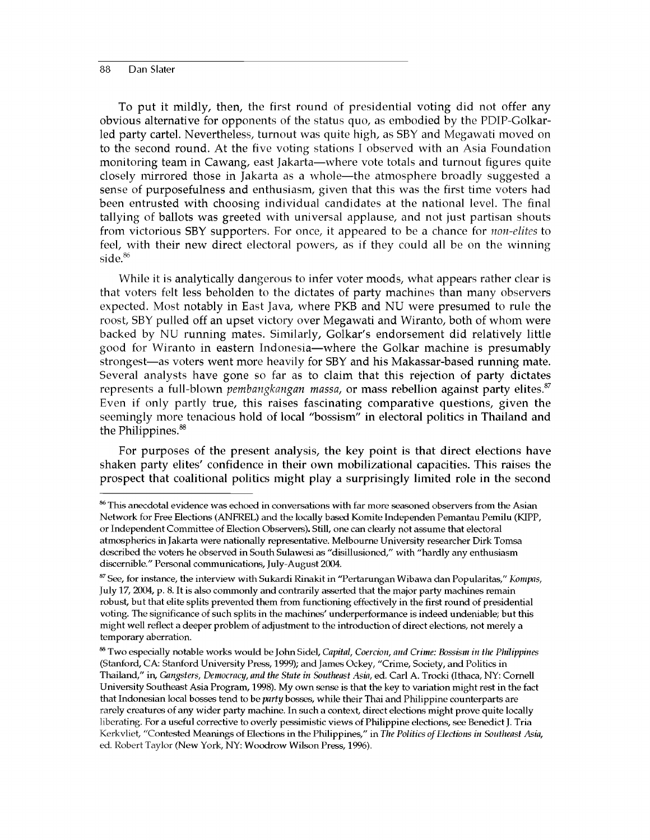To put it mildly, then, the first round of presidential voting did not offer any obvious alternative for opponents of the status quo, as embodied by the PDIP-Golkarled party cartel. Nevertheless, turnout was quite high, as SBY and Megawati moved on to the second round. At the five voting stations I observed with an Asia Foundation monitoring team in Cawang, east Jakarta—where vote totals and turnout figures quite closely mirrored those in Jakarta as a whole—the atmosphere broadly suggested a sense of purposefulness and enthusiasm, given that this was the first time voters had been entrusted with choosing individual candidates at the national level. The final tallying of ballots was greeted with universal applause, and not just partisan shouts from victorious SBY supporters. For once, it appeared to be a chance for *non-elites* to feel, with their new direct electoral powers, as if they could all be on the winning side.<sup>86</sup>

While it is analytically dangerous to infer voter moods, what appears rather clear is that voters felt less beholden to the dictates of party machines than many observers expected. Most notably in East Java, where PKB and NU were presumed to rule the roost, SBY pulled off an upset victory over Megawati and Wiranto, both of whom were backed by NU running mates. Similarly, Golkar's endorsement did relatively little good for Wiranto in eastern Indonesia—where the Golkar machine is presumably strongest—as voters went more heavily for SBY and his Makassar-based running mate. Several analysts have gone so far as to claim that this rejection of party dictates represents a full-blown *pembangkangan massa,* or mass rebellion against party elites.<sup>87</sup> Even if only partly true, this raises fascinating comparative questions, given the seemingly more tenacious hold of local "bossism" in electoral politics in Thailand and the Philippines.<sup>88</sup>

For purposes of the present analysis, the key point is that direct elections have shaken party elites' confidence in their own mobilizational capacities. This raises the prospect that coalitional politics might play a surprisingly limited role in the second

<sup>86</sup> This anecdotal evidence was echoed in conversations with far more seasoned observers from the Asian Network for Free Elections (ANFREL) and the locally based Komite Independen Pemantau Pemilu (KIPP, or Independent Committee of Election Observers). Still, one can clearly not assume that electoral atmospherics in Jakarta were nationally representative. Melbourne University researcher Dirk Tomsa described the voters he observed in South Sulawesi as "disillusioned," with "hardly any enthusiasm discernible." Personal communications, July-August 2004.

<sup>87</sup> See, for instance, the interview with Sukardi Rinakit in "Pertarungan Wibawa dan Popularitas," *Kompas,* July 17, 2004, p. 8. It is also commonly and contrarily asserted that the major party machines remain robust, but that elite splits prevented them from functioning effectively in the first round of presidential voting. The significance of such splits in the machines' underperformance is indeed undeniable; but this might well reflect a deeper problem of adjustment to the introduction of direct elections, not merely a temporary aberration.

<sup>88</sup> Two especially notable works would be John Sidel, *Capital, Coercion, and Crime: Bossism in the Philippines* (Stanford, CA: Stanford University Press, 1999); and James Ockey, "Crime, Society, and Politics in Thailand," in, *Gangsters, Democracy, and the State in Southeast Asia*, ed. Carl A. Trocki (Ithaca, NY: Cornell University Southeast Asia Program, 1998). My own sense is that the key to variation might rest in the fact that Indonesian local bosses tend to be *party* bosses, while their Thai and Philippine counterparts are rarely creatures of any wider party machine. In such a context, direct elections might prove quite locally liberating. For a useful corrective to overly pessimistic views of Philippine elections, see Benedict J. Tria Kerkvliet, "Contested Meanings of Elections in the Philippines," in *The Politics of Elections in Southeast Asia*, ed. Robert Taylor (New York, NY: Woodrow Wilson Press, 1996).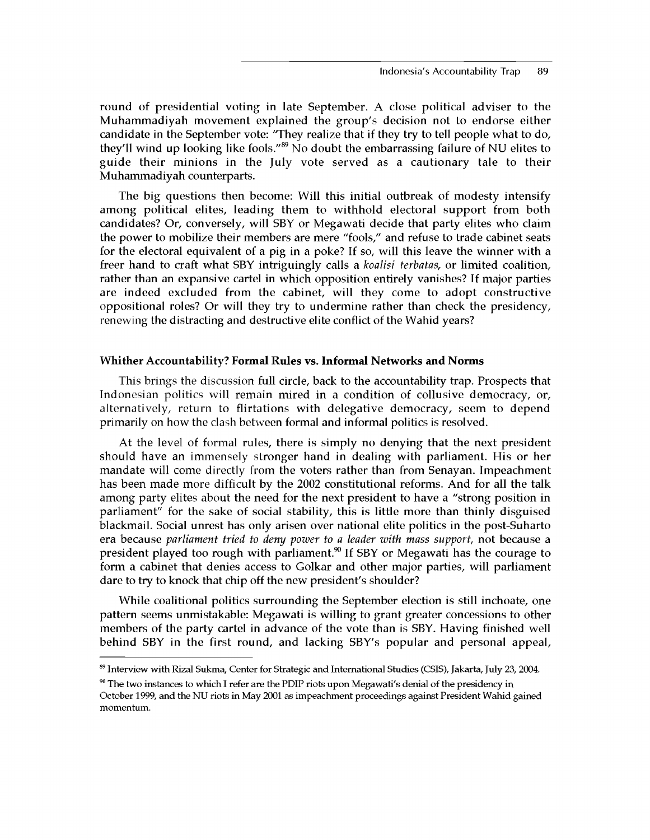round of presidential voting in late September. A close political adviser to the Muhammadiyah movement explained the group's decision not to endorse either candidate in the September vote: 'They realize that if they try to tell people what to do, they'll wind up looking like fools."<sup>89</sup> No doubt the embarrassing failure of NU elites to guide their minions in the July vote served as a cautionary tale to their Muhammadiyah counterparts.

The big questions then become: Will this initial outbreak of modesty intensify among political elites, leading them to withhold electoral support from both candidates? Or, conversely, will SBY or Megawati decide that party elites who claim the power to mobilize their members are mere "fools," and refuse to trade cabinet seats for the electoral equivalent of a pig in a poke? If so, will this leave the winner with a freer hand to craft what SBY intriguingly calls a *koalisi terbatas,* or limited coalition, rather than an expansive cartel in which opposition entirely vanishes? If major parties are indeed excluded from the cabinet, will they come to adopt constructive oppositional roles? Or will they try to undermine rather than check the presidency, renewing the distracting and destructive elite conflict of the Wahid years?

#### **Whither Accountability? Formal Rules vs. Informal Networks and Norms**

This brings the discussion full circle, back to the accountability trap. Prospects that Indonesian politics will remain mired in a condition of collusive democracy, or, alternatively, return to flirtations with delegative democracy, seem to depend primarily on how the clash between formal and informal politics is resolved.

At the level of formal rules, there is simply no denying that the next president should have an immensely stronger hand in dealing with parliament. His or her mandate will come directly from the voters rather than from Senayan. Impeachment has been made more difficult by the 2002 constitutional reforms. And for all the talk among party elites about the need for the next president to have a "strong position in parliament" for the sake of social stability, this is little more than thinly disguised blackmail. Social unrest has only arisen over national elite politics in the post-Suharto era because *parliament tried to deny power to a leader with mass support,* not because a president played too rough with parliament.<sup>90</sup> If SBY or Megawati has the courage to form a cabinet that denies access to Golkar and other major parties, will parliament dare to try to knock that chip off the new president's shoulder?

While coalitional politics surrounding the September election is still inchoate, one pattern seems unmistakable: Megawati is willing to grant greater concessions to other members of the party cartel in advance of the vote than is SBY. Having finished well behind SBY in the first round, and lacking SBY's popular and personal appeal,

<sup>89</sup> Interview with Rizal Sukma, Center for Strategic and International Studies (CSIS), Jakarta, July 23, 2004.

 $90$  The two instances to which I refer are the PDIP riots upon Megawati's denial of the presidency in October 1999, and the NU riots in May 2001 as impeachment proceedings against President Wahid gained momentum.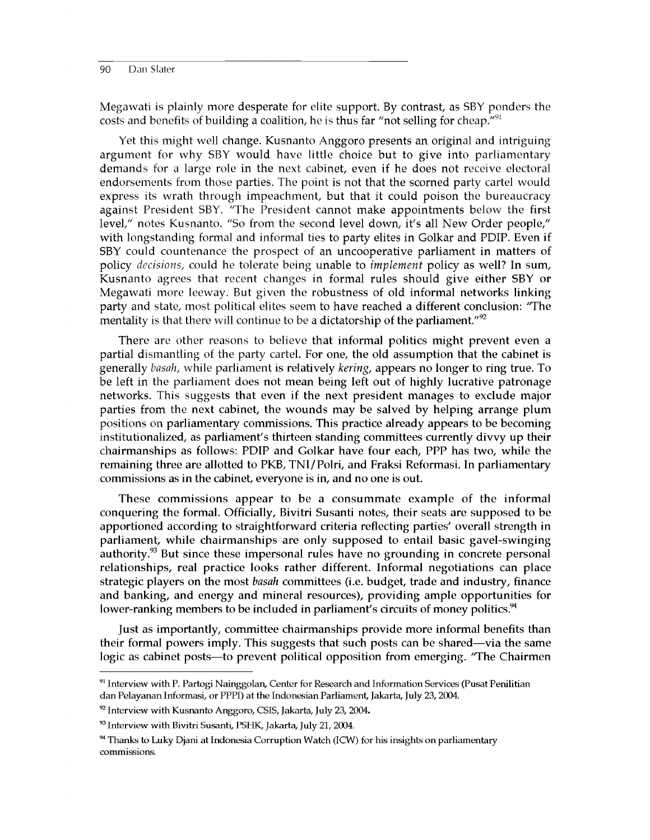Megawati is plainly more desperate for elite support. By contrast, as SBY ponders the costs and benefits of building a coalition, he is thus far "not selling for cheap."<sup>91</sup>

Yet this might well change. Kusnanto Anggoro presents an original and intriguing argument for why SBY would have little choice but to give into parliamentary demands for a large role in the next cabinet, even if he does not receive electoral endorsements from those parties. The point is not that the scorned party cartel would express its wrath through impeachment, but that it could poison the bureaucracy against President SBY. "The President cannot make appointments below the first level," notes Kusnanto. "So from the second level down, it's all New Order people," with longstanding formal and informal ties to party elites in Golkar and PDIP. Even if SBY could countenance the prospect of an uncooperative parliament in matters of policy *decisions,* could he tolerate being unable to *implement* policy as well? In sum, Kusnanto agrees that recent changes in formal rules should give either SBY or Megawati more leeway. But given the robustness of old informal networks linking party and state, most political elites seem to have reached a different conclusion: 'The mentality is that there will continue to be a dictatorship of the parliament." $\mathbb{P}^2$ 

There are other reasons to believe that informal politics might prevent even a partial dismantling of the party cartel. For one, the old assumption that the cabinet is generally *basah,* while parliament is relatively *kering,* appears no longer to ring true. To be left in the parliament does not mean being left out of highly lucrative patronage networks. This suggests that even if the next president manages to exclude major parties from the next cabinet, the wounds may be salved by helping arrange plum positions on parliamentary commissions. This practice already appears to be becoming institutionalized, as parliament's thirteen standing committees currently divvy up their chairmanships as follows: PDIP and Golkar have four each, PPP has two, while the remaining three are allotted to PKB, TNI/Polri, and Fraksi Reformasi. In parliamentary commissions as in the cabinet, everyone is in, and no one is out.

These commissions appear to be a consummate example of the informal conquering the formal. Officially, Bivitri Susanti notes, their seats are supposed to be apportioned according to straightforward criteria reflecting parties' overall strength in parliament, while chairmanships are only supposed to entail basic gavel-swinging authority. $93$  But since these impersonal rules have no grounding in concrete personal relationships, real practice looks rather different. Informal negotiations can place strategic players on the most *basah* committees (i.e. budget, trade and industry, finance and banking, and energy and mineral resources), providing ample opportunities for lower-ranking members to be included in parliament's circuits of money politics.<sup>94</sup>

Just as importantly, committee chairmanships provide more informal benefits than their formal powers imply. This suggests that such posts can be shared—via the same logic as cabinet posts—to prevent political opposition from emerging. 'The Chairmen

<sup>&</sup>lt;sup>91</sup> Interview with P. Partogi Nainggolan, Center for Research and Information Services (Pusat Penilitian dan Pelayanan Informasi, or PPPI) at the Indonesian Parliament, Jakarta, July 23, 2004.

 $92$  Interview with Kusnanto Anggoro, CSIS, Jakarta, July 23, 2004.

<sup>93</sup> Interview with Bivitri Susanti, PSHK, Jakarta, July 21, 2004.

 $94$  Thanks to Luky Djani at Indonesia Corruption Watch (ICW) for his insights on parliamentary commissions.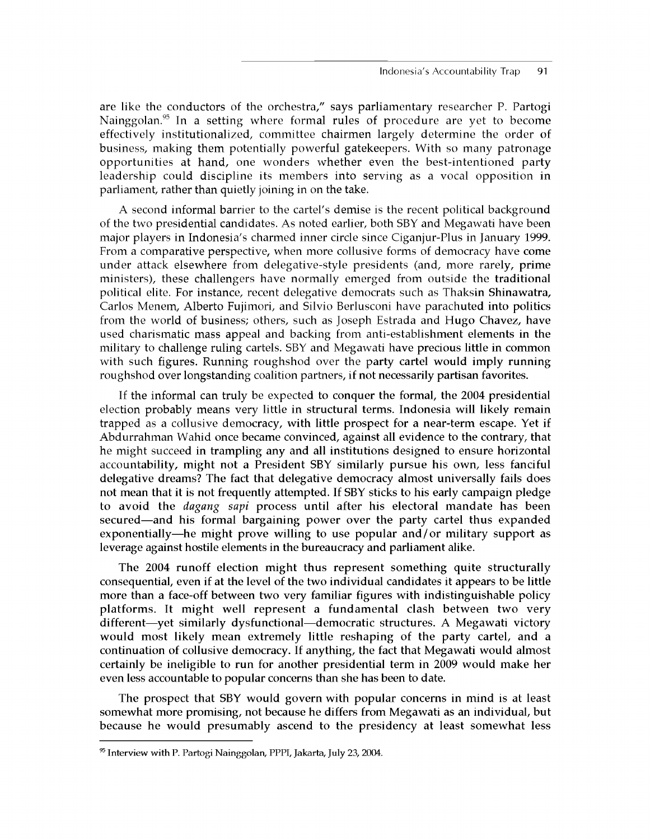are like the conductors of the orchestra," says parliamentary researcher P. Partogi Nainggolan.<sup>95</sup> In a setting where formal rules of procedure are yet to become effectively institutionalized, committee chairmen largely determine the order of business, making them potentially powerful gatekeepers. With so many patronage opportunities at hand, one wonders whether even the best-intentioned party leadership could discipline its members into serving as a vocal opposition in parliament, rather than quietly joining in on the take.

A second informal barrier to the cartel's demise is the recent political background of the two presidential candidates. As noted earlier, both SBY and Megawati have been major players in Indonesia's charmed inner circle since Ciganjur-Plus in January 1999. From a comparative perspective, when more collusive forms of democracy have come under attack elsewhere from delegative-style presidents (and, more rarely, prime ministers), these challengers have normally emerged from outside the traditional political elite. For instance, recent delegative democrats such as Thaksin Shinawatra, Carlos Menem, Alberto Fujimori, and Silvio Berlusconi have parachuted into politics from the world of business; others, such as Joseph Estrada and Hugo Chavez, have used charismatic mass appeal and backing from anti-establishment elements in the military to challenge ruling cartels. SBY and Megawati have precious little in common with such figures. Running roughshod over the party cartel would imply running roughshod over longstanding coalition partners, if not necessarily partisan favorites.

If the informal can truly be expected to conquer the formal, the 2004 presidential election probably means very little in structural terms. Indonesia will likely remain trapped as a collusive democracy, with little prospect for a near-term escape. Yet if Abdurrahman Wahid once became convinced, against all evidence to the contrary, that he might succeed in trampling any and all institutions designed to ensure horizontal accountability, might not a President SBY similarly pursue his own, less fanciful delegative dreams? The fact that delegative democracy almost universally fails does not mean that it is not frequently attempted. If SBY sticks to his early campaign pledge to avoid the *dagang sapi* process until after his electoral mandate has been secured—and his formal bargaining power over the party cartel thus expanded exponentially—he might prove willing to use popular and/or military support as leverage against hostile elements in the bureaucracy and parliament alike.

The 2004 runoff election might thus represent something quite structurally consequential, even if at the level of the two individual candidates it appears to be little more than a face-off between two very familiar figures with indistinguishable policy platforms. It might well represent a fundamental clash between two very different—yet similarly dysfunctional—democratic structures. A Megawati victory would most likely mean extremely little reshaping of the party cartel, and a continuation of collusive democracy. If anything, the fact that Megawati would almost certainly be ineligible to run for another presidential term in 2009 would make her even less accountable to popular concerns than she has been to date.

The prospect that SBY would govern with popular concerns in mind is at least somewhat more promising, not because he differs from Megawati as an individual, but because he would presumably ascend to the presidency at least somewhat less

<sup>95</sup> Interview with P. Partogi Nainggolan, PPPI, Jakarta, July 23, 2004.